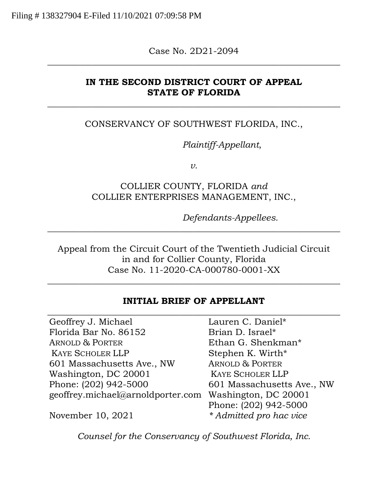Case No. 2D21-2094 \_\_\_\_\_\_\_\_\_\_\_\_\_\_\_\_\_\_\_\_\_\_\_\_\_\_\_\_\_\_\_\_\_\_\_\_\_\_\_\_\_\_\_\_\_\_\_\_\_\_\_\_\_\_\_\_\_\_\_\_\_\_\_\_\_\_

### **IN THE SECOND DISTRICT COURT OF APPEAL STATE OF FLORIDA**

 $\overline{\phantom{a}}$  , and the contract of the contract of the contract of the contract of the contract of the contract of the contract of the contract of the contract of the contract of the contract of the contract of the contrac

### CONSERVANCY OF SOUTHWEST FLORIDA, INC.,

*Plaintiff-Appellant*,

*v.* 

# COLLIER COUNTY, FLORIDA *and* COLLIER ENTERPRISES MANAGEMENT, INC.,

*Defendants-Appellees.* 

Appeal from the Circuit Court of the Twentieth Judicial Circuit in and for Collier County, Florida Case No. 11-2020-CA-000780-0001-XX

 $\overline{\phantom{a}}$  , and the contract of the contract of the contract of the contract of the contract of the contract of the contract of the contract of the contract of the contract of the contract of the contract of the contrac

\_\_\_\_\_\_\_\_\_\_\_\_\_\_\_\_\_\_\_\_\_\_\_\_\_\_\_\_\_\_\_\_\_\_\_\_\_\_\_\_\_\_\_\_\_\_\_\_\_\_\_\_\_\_\_\_\_\_\_\_\_\_\_\_\_\_

#### **INITIAL BRIEF OF APPELLANT**

Geoffrey J. Michael Florida Bar No. 86152 ARNOLD & PORTER KAYE SCHOLER LLP 601 Massachusetts Ave., NW Washington, DC 20001 Phone: (202) 942-5000 geoffrey.michael@arnoldporter.com Washington, DC 20001

\_\_\_\_\_\_\_\_\_\_\_\_\_\_\_\_\_\_\_\_\_\_\_\_\_\_\_\_\_\_\_\_\_\_\_\_\_\_\_\_\_\_\_\_\_\_\_\_\_\_\_\_\_\_\_\_\_\_\_\_\_\_\_\_\_\_ Lauren C. Daniel\* Brian D. Israel\* Ethan G. Shenkman\* Stephen K. Wirth\* ARNOLD & PORTER KAYE SCHOLER LLP 601 Massachusetts Ave., NW Phone: (202) 942-5000 *\* Admitted pro hac vice* 

November 10, 2021

*Counsel for the Conservancy of Southwest Florida, Inc.*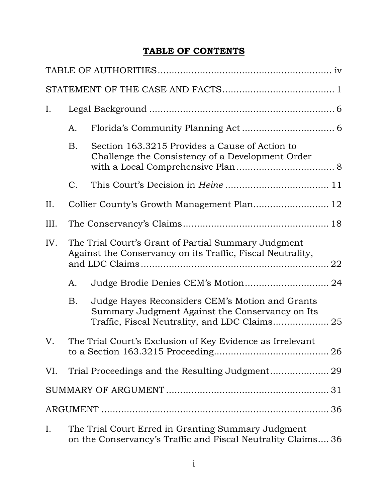# **TABLE OF CONTENTS**

| Ι.                                                                                                                       |                                                                                                                    |                                                                                                                                                     |  |  |
|--------------------------------------------------------------------------------------------------------------------------|--------------------------------------------------------------------------------------------------------------------|-----------------------------------------------------------------------------------------------------------------------------------------------------|--|--|
|                                                                                                                          | А.                                                                                                                 |                                                                                                                                                     |  |  |
|                                                                                                                          | B.                                                                                                                 | Section 163.3215 Provides a Cause of Action to<br>Challenge the Consistency of a Development Order                                                  |  |  |
|                                                                                                                          | C.                                                                                                                 |                                                                                                                                                     |  |  |
| II.                                                                                                                      |                                                                                                                    |                                                                                                                                                     |  |  |
| III.                                                                                                                     |                                                                                                                    |                                                                                                                                                     |  |  |
| IV.<br>The Trial Court's Grant of Partial Summary Judgment<br>Against the Conservancy on its Traffic, Fiscal Neutrality, |                                                                                                                    |                                                                                                                                                     |  |  |
|                                                                                                                          | А.                                                                                                                 | Judge Brodie Denies CEM's Motion 24                                                                                                                 |  |  |
|                                                                                                                          | В.                                                                                                                 | Judge Hayes Reconsiders CEM's Motion and Grants<br>Summary Judgment Against the Conservancy on Its<br>Traffic, Fiscal Neutrality, and LDC Claims 25 |  |  |
| V.                                                                                                                       | The Trial Court's Exclusion of Key Evidence as Irrelevant                                                          |                                                                                                                                                     |  |  |
| VI.                                                                                                                      |                                                                                                                    |                                                                                                                                                     |  |  |
|                                                                                                                          |                                                                                                                    |                                                                                                                                                     |  |  |
|                                                                                                                          |                                                                                                                    |                                                                                                                                                     |  |  |
| Ι.                                                                                                                       | The Trial Court Erred in Granting Summary Judgment<br>on the Conservancy's Traffic and Fiscal Neutrality Claims 36 |                                                                                                                                                     |  |  |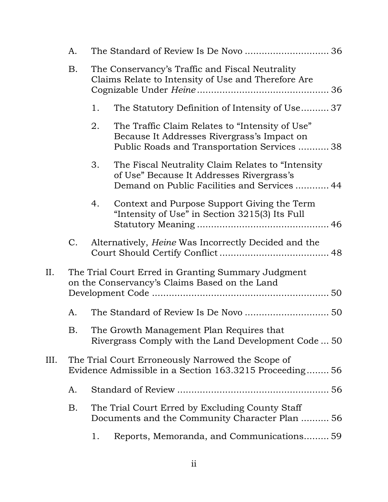|     | A.                                                                                                          |                                                                                                                                                       |  |  |  |  |
|-----|-------------------------------------------------------------------------------------------------------------|-------------------------------------------------------------------------------------------------------------------------------------------------------|--|--|--|--|
|     | B.                                                                                                          | The Conservancy's Traffic and Fiscal Neutrality<br>Claims Relate to Intensity of Use and Therefore Are                                                |  |  |  |  |
|     |                                                                                                             | The Statutory Definition of Intensity of Use37<br>1.                                                                                                  |  |  |  |  |
|     |                                                                                                             | 2.<br>The Traffic Claim Relates to "Intensity of Use"<br>Because It Addresses Rivergrass's Impact on<br>Public Roads and Transportation Services 38   |  |  |  |  |
|     |                                                                                                             | The Fiscal Neutrality Claim Relates to "Intensity"<br>3.<br>of Use" Because It Addresses Rivergrass's<br>Demand on Public Facilities and Services  44 |  |  |  |  |
|     |                                                                                                             | Context and Purpose Support Giving the Term<br>4.<br>"Intensity of Use" in Section 3215(3) Its Full                                                   |  |  |  |  |
|     | C.                                                                                                          | Alternatively, Heine Was Incorrectly Decided and the                                                                                                  |  |  |  |  |
| II. | The Trial Court Erred in Granting Summary Judgment<br>on the Conservancy's Claims Based on the Land         |                                                                                                                                                       |  |  |  |  |
|     | A.                                                                                                          | The Standard of Review Is De Novo  50                                                                                                                 |  |  |  |  |
|     | Β.                                                                                                          | The Growth Management Plan Requires that<br>Rivergrass Comply with the Land Development Code  50                                                      |  |  |  |  |
| Ш.  | The Trial Court Erroneously Narrowed the Scope of<br>Evidence Admissible in a Section 163.3215 Proceeding56 |                                                                                                                                                       |  |  |  |  |
|     | A.                                                                                                          |                                                                                                                                                       |  |  |  |  |
|     | Β.                                                                                                          | The Trial Court Erred by Excluding County Staff<br>Documents and the Community Character Plan  56                                                     |  |  |  |  |
|     |                                                                                                             | Reports, Memoranda, and Communications 59<br>1.                                                                                                       |  |  |  |  |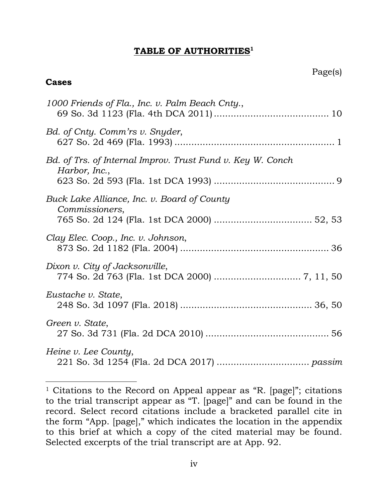### **TABLE OF AUTHORITIES<sup>1</sup>**

### **Cases**

| 1000 Friends of Fla., Inc. v. Palm Beach Cnty.,                             |
|-----------------------------------------------------------------------------|
| Bd. of Cnty. Comm'rs v. Snyder,                                             |
| Bd. of Trs. of Internal Improv. Trust Fund v. Key W. Conch<br>Harbor, Inc., |
| Buck Lake Alliance, Inc. v. Board of County<br>Commissioners,               |
| Clay Elec. Coop., Inc. v. Johnson,                                          |
| Dixon v. City of Jacksonville,                                              |
| Eustache v. State,                                                          |
| Green v. State,                                                             |
| Heine v. Lee County,                                                        |

<sup>&</sup>lt;sup>1</sup> Citations to the Record on Appeal appear as "R. [page]"; citations to the trial transcript appear as "T. [page]" and can be found in the record. Select record citations include a bracketed parallel cite in the form "App. [page]," which indicates the location in the appendix to this brief at which a copy of the cited material may be found. Selected excerpts of the trial transcript are at App. 92.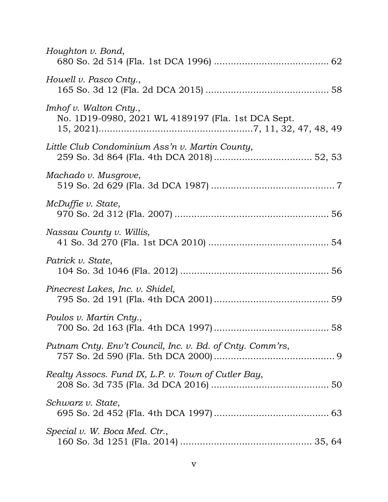| Houghton v. Bond,                                                                   |
|-------------------------------------------------------------------------------------|
| Howell v. Pasco Cnty.,                                                              |
| <i>Imhof v. Walton Cnty.,</i><br>No. 1D19-0980, 2021 WL 4189197 (Fla. 1st DCA Sept. |
| Little Club Condominium Ass'n v. Martin County,                                     |
| Machado v. Musgrove,                                                                |
| McDuffie v. State,                                                                  |
| Nassau County v. Willis,                                                            |
| Patrick v. State,                                                                   |
| Pinecrest Lakes, Inc. v. Shidel,                                                    |
| Poulos v. Martin Cnty.,                                                             |
| Putnam Cnty. Env't Council, Inc. v. Bd. of Cnty. Comm'rs,                           |
| Realty Assocs. Fund IX, L.P. v. Town of Cutler Bay,                                 |
| Schwarz v. State,                                                                   |
| Special v. W. Boca Med. Ctr.,                                                       |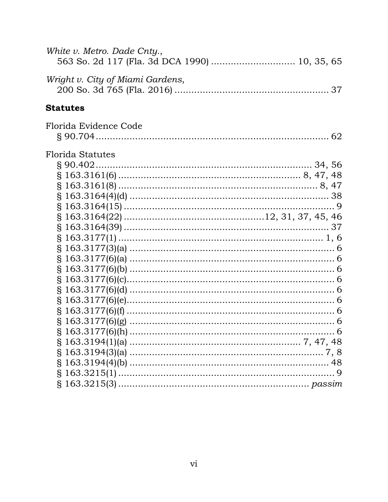| White v. Metro. Dade Cnty.,<br>563 So. 2d 117 (Fla. 3d DCA 1990)  10, 35, 65 |  |
|------------------------------------------------------------------------------|--|
| Wright v. City of Miami Gardens,                                             |  |
| <b>Statutes</b>                                                              |  |
| Florida Evidence Code                                                        |  |
|                                                                              |  |
| <b>Florida Statutes</b>                                                      |  |
|                                                                              |  |
|                                                                              |  |
|                                                                              |  |
|                                                                              |  |
|                                                                              |  |
|                                                                              |  |
|                                                                              |  |
|                                                                              |  |
|                                                                              |  |
|                                                                              |  |
|                                                                              |  |
|                                                                              |  |
|                                                                              |  |
|                                                                              |  |
|                                                                              |  |
|                                                                              |  |
|                                                                              |  |
|                                                                              |  |
|                                                                              |  |
|                                                                              |  |
| $§ 163.3215(1) \dots$                                                        |  |
|                                                                              |  |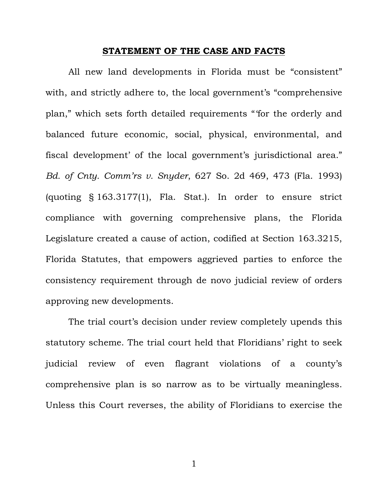### **STATEMENT OF THE CASE AND FACTS**

All new land developments in Florida must be "consistent" with, and strictly adhere to, the local government's "comprehensive plan," which sets forth detailed requirements "'for the orderly and balanced future economic, social, physical, environmental, and fiscal development' of the local government's jurisdictional area." *Bd. of Cnty. Comm'rs v. Snyder*, 627 So. 2d 469, 473 (Fla. 1993) (quoting § 163.3177(1), Fla. Stat.). In order to ensure strict compliance with governing comprehensive plans, the Florida Legislature created a cause of action, codified at Section 163.3215, Florida Statutes, that empowers aggrieved parties to enforce the consistency requirement through de novo judicial review of orders approving new developments.

The trial court's decision under review completely upends this statutory scheme. The trial court held that Floridians' right to seek judicial review of even flagrant violations of a county's comprehensive plan is so narrow as to be virtually meaningless. Unless this Court reverses, the ability of Floridians to exercise the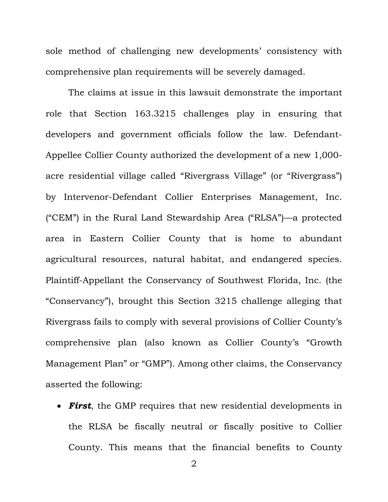sole method of challenging new developments' consistency with comprehensive plan requirements will be severely damaged.

The claims at issue in this lawsuit demonstrate the important role that Section 163.3215 challenges play in ensuring that developers and government officials follow the law. Defendant-Appellee Collier County authorized the development of a new 1,000 acre residential village called "Rivergrass Village" (or "Rivergrass") by Intervenor-Defendant Collier Enterprises Management, Inc. ("CEM") in the Rural Land Stewardship Area ("RLSA")—a protected area in Eastern Collier County that is home to abundant agricultural resources, natural habitat, and endangered species. Plaintiff-Appellant the Conservancy of Southwest Florida, Inc. (the "Conservancy"), brought this Section 3215 challenge alleging that Rivergrass fails to comply with several provisions of Collier County's comprehensive plan (also known as Collier County's "Growth Management Plan" or "GMP"). Among other claims, the Conservancy asserted the following:

 *First*, the GMP requires that new residential developments in the RLSA be fiscally neutral or fiscally positive to Collier County. This means that the financial benefits to County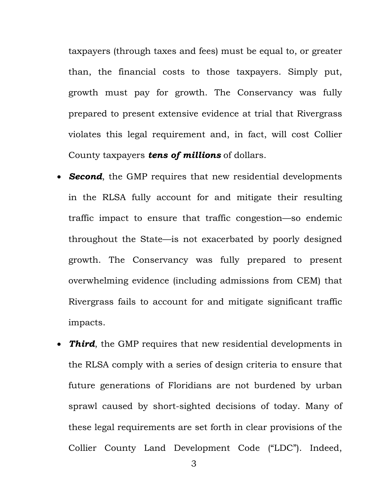taxpayers (through taxes and fees) must be equal to, or greater than, the financial costs to those taxpayers. Simply put, growth must pay for growth. The Conservancy was fully prepared to present extensive evidence at trial that Rivergrass violates this legal requirement and, in fact, will cost Collier County taxpayers *tens of millions* of dollars.

- *Second*, the GMP requires that new residential developments in the RLSA fully account for and mitigate their resulting traffic impact to ensure that traffic congestion—so endemic throughout the State—is not exacerbated by poorly designed growth. The Conservancy was fully prepared to present overwhelming evidence (including admissions from CEM) that Rivergrass fails to account for and mitigate significant traffic impacts.
- *Third*, the GMP requires that new residential developments in the RLSA comply with a series of design criteria to ensure that future generations of Floridians are not burdened by urban sprawl caused by short-sighted decisions of today. Many of these legal requirements are set forth in clear provisions of the Collier County Land Development Code ("LDC"). Indeed,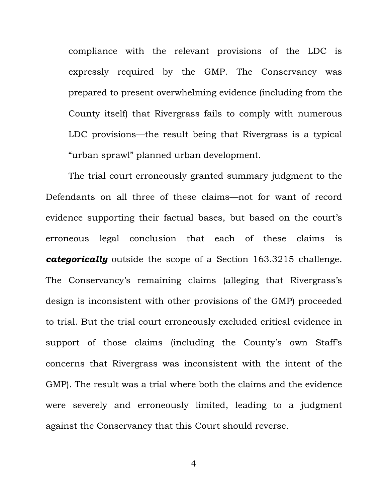compliance with the relevant provisions of the LDC is expressly required by the GMP. The Conservancy was prepared to present overwhelming evidence (including from the County itself) that Rivergrass fails to comply with numerous LDC provisions—the result being that Rivergrass is a typical "urban sprawl" planned urban development.

The trial court erroneously granted summary judgment to the Defendants on all three of these claims—not for want of record evidence supporting their factual bases, but based on the court's erroneous legal conclusion that each of these claims is *categorically* outside the scope of a Section 163.3215 challenge. The Conservancy's remaining claims (alleging that Rivergrass's design is inconsistent with other provisions of the GMP) proceeded to trial. But the trial court erroneously excluded critical evidence in support of those claims (including the County's own Staff's concerns that Rivergrass was inconsistent with the intent of the GMP). The result was a trial where both the claims and the evidence were severely and erroneously limited, leading to a judgment against the Conservancy that this Court should reverse.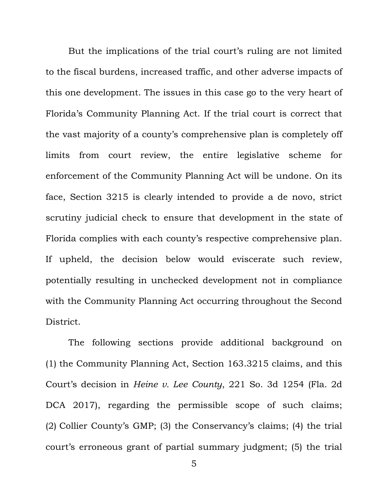But the implications of the trial court's ruling are not limited to the fiscal burdens, increased traffic, and other adverse impacts of this one development. The issues in this case go to the very heart of Florida's Community Planning Act. If the trial court is correct that the vast majority of a county's comprehensive plan is completely off limits from court review, the entire legislative scheme for enforcement of the Community Planning Act will be undone. On its face, Section 3215 is clearly intended to provide a de novo, strict scrutiny judicial check to ensure that development in the state of Florida complies with each county's respective comprehensive plan. If upheld, the decision below would eviscerate such review, potentially resulting in unchecked development not in compliance with the Community Planning Act occurring throughout the Second District.

The following sections provide additional background on (1) the Community Planning Act, Section 163.3215 claims, and this Court's decision in *Heine v. Lee County*, 221 So. 3d 1254 (Fla. 2d DCA 2017), regarding the permissible scope of such claims; (2) Collier County's GMP; (3) the Conservancy's claims; (4) the trial court's erroneous grant of partial summary judgment; (5) the trial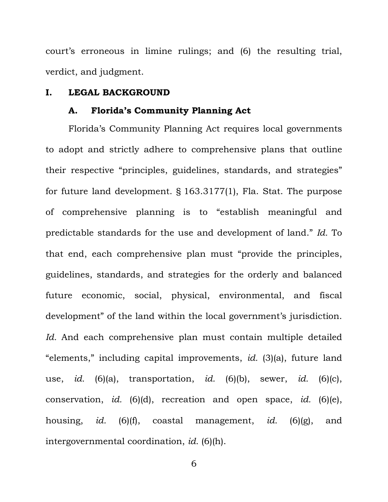court's erroneous in limine rulings; and (6) the resulting trial, verdict, and judgment.

#### **I. LEGAL BACKGROUND**

#### **A. Florida's Community Planning Act**

Florida's Community Planning Act requires local governments to adopt and strictly adhere to comprehensive plans that outline their respective "principles, guidelines, standards, and strategies" for future land development. § 163.3177(1), Fla. Stat. The purpose of comprehensive planning is to "establish meaningful and predictable standards for the use and development of land." *Id.* To that end, each comprehensive plan must "provide the principles, guidelines, standards, and strategies for the orderly and balanced future economic, social, physical, environmental, and fiscal development" of the land within the local government's jurisdiction. *Id.* And each comprehensive plan must contain multiple detailed "elements," including capital improvements, *id.* (3)(a), future land use, *id.* (6)(a), transportation, *id.* (6)(b), sewer, *id.* (6)(c), conservation, *id.* (6)(d), recreation and open space, *id.* (6)(e), housing, *id.* (6)(f), coastal management, *id.* (6)(g), and intergovernmental coordination, *id.* (6)(h).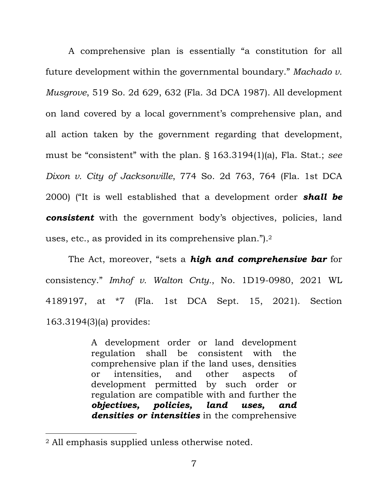A comprehensive plan is essentially "a constitution for all future development within the governmental boundary." *Machado v. Musgrove*, 519 So. 2d 629, 632 (Fla. 3d DCA 1987). All development on land covered by a local government's comprehensive plan, and all action taken by the government regarding that development, must be "consistent" with the plan. § 163.3194(1)(a), Fla. Stat.; *see Dixon v. City of Jacksonville*, 774 So. 2d 763, 764 (Fla. 1st DCA 2000) ("It is well established that a development order *shall be consistent* with the government body's objectives, policies, land uses, etc., as provided in its comprehensive plan.").<sup>2</sup>

The Act, moreover, "sets a *high and comprehensive bar* for consistency." *Imhof v. Walton Cnty.*, No. 1D19-0980, 2021 WL 4189197, at \*7 (Fla. 1st DCA Sept. 15, 2021). Section 163.3194(3)(a) provides:

> A development order or land development regulation shall be consistent with the comprehensive plan if the land uses, densities or intensities, and other aspects of development permitted by such order or regulation are compatible with and further the *objectives, policies, land uses, and densities or intensities* in the comprehensive

<sup>2</sup> All emphasis supplied unless otherwise noted.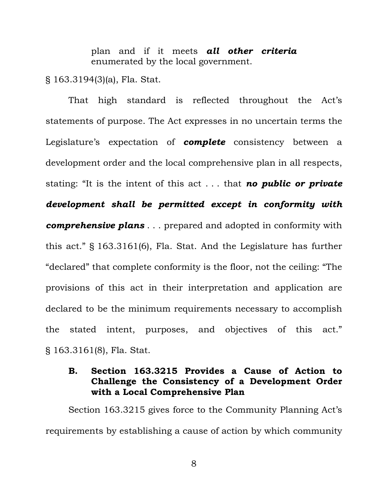plan and if it meets *all other criteria* enumerated by the local government.

§ 163.3194(3)(a), Fla. Stat.

That high standard is reflected throughout the Act's statements of purpose. The Act expresses in no uncertain terms the Legislature's expectation of *complete* consistency between a development order and the local comprehensive plan in all respects, stating: "It is the intent of this act . . . that *no public or private development shall be permitted except in conformity with comprehensive plans* . . . prepared and adopted in conformity with this act." § 163.3161(6), Fla. Stat. And the Legislature has further "declared" that complete conformity is the floor, not the ceiling: "The provisions of this act in their interpretation and application are declared to be the minimum requirements necessary to accomplish the stated intent, purposes, and objectives of this act." § 163.3161(8), Fla. Stat.

# **B. Section 163.3215 Provides a Cause of Action to Challenge the Consistency of a Development Order with a Local Comprehensive Plan**

Section 163.3215 gives force to the Community Planning Act's requirements by establishing a cause of action by which community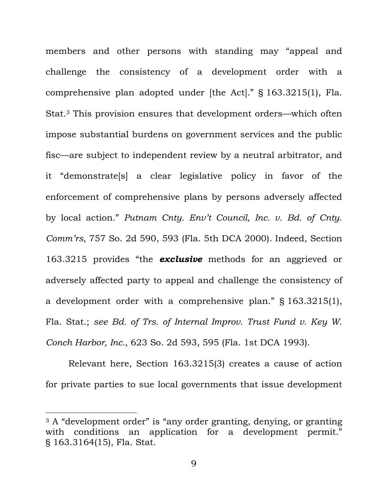members and other persons with standing may "appeal and challenge the consistency of a development order with a comprehensive plan adopted under [the Act]." § 163.3215(1), Fla. Stat.3 This provision ensures that development orders—which often impose substantial burdens on government services and the public fisc—are subject to independent review by a neutral arbitrator, and it "demonstrate[s] a clear legislative policy in favor of the enforcement of comprehensive plans by persons adversely affected by local action." *Putnam Cnty. Env't Council, Inc. v. Bd. of Cnty. Comm'rs*, 757 So. 2d 590, 593 (Fla. 5th DCA 2000). Indeed, Section 163.3215 provides "the *exclusive* methods for an aggrieved or adversely affected party to appeal and challenge the consistency of a development order with a comprehensive plan." § 163.3215(1), Fla. Stat.; *see Bd. of Trs. of Internal Improv. Trust Fund v. Key W. Conch Harbor, Inc.*, 623 So. 2d 593, 595 (Fla. 1st DCA 1993).

Relevant here, Section 163.3215(3) creates a cause of action for private parties to sue local governments that issue development

<sup>&</sup>lt;sup>3</sup> A "development order" is "any order granting, denying, or granting with conditions an application for a development permit." § 163.3164(15), Fla. Stat.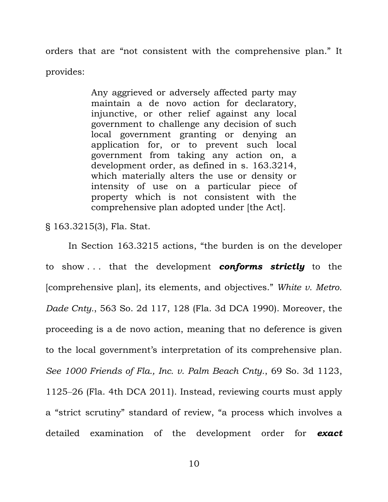orders that are "not consistent with the comprehensive plan." It provides:

> Any aggrieved or adversely affected party may maintain a de novo action for declaratory, injunctive, or other relief against any local government to challenge any decision of such local government granting or denying an application for, or to prevent such local government from taking any action on, a development order, as defined in s. 163.3214, which materially alters the use or density or intensity of use on a particular piece of property which is not consistent with the comprehensive plan adopted under [the Act].

§ 163.3215(3), Fla. Stat.

In Section 163.3215 actions, "the burden is on the developer to show . . . that the development *conforms strictly* to the [comprehensive plan], its elements, and objectives." *White v. Metro. Dade Cnty.*, 563 So. 2d 117, 128 (Fla. 3d DCA 1990). Moreover, the proceeding is a de novo action, meaning that no deference is given to the local government's interpretation of its comprehensive plan. *See 1000 Friends of Fla., Inc. v. Palm Beach Cnty.*, 69 So. 3d 1123, 1125‒26 (Fla. 4th DCA 2011). Instead, reviewing courts must apply a "strict scrutiny" standard of review, "a process which involves a detailed examination of the development order for *exact*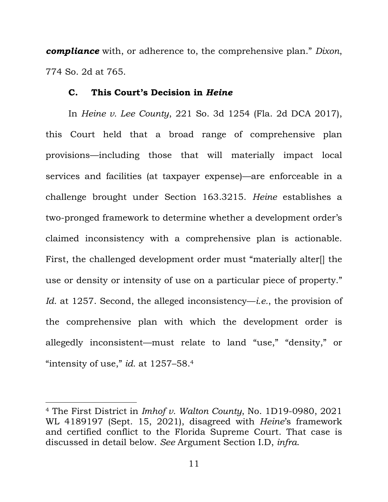*compliance* with, or adherence to, the comprehensive plan." *Dixon*, 774 So. 2d at 765.

#### **C. This Court's Decision in** *Heine*

In *Heine v. Lee County*, 221 So. 3d 1254 (Fla. 2d DCA 2017), this Court held that a broad range of comprehensive plan provisions—including those that will materially impact local services and facilities (at taxpayer expense)—are enforceable in a challenge brought under Section 163.3215. *Heine* establishes a two-pronged framework to determine whether a development order's claimed inconsistency with a comprehensive plan is actionable. First, the challenged development order must "materially alter[] the use or density or intensity of use on a particular piece of property." *Id.* at 1257. Second, the alleged inconsistency—*i.e.*, the provision of the comprehensive plan with which the development order is allegedly inconsistent—must relate to land "use," "density," or "intensity of use," *id.* at 1257–58.<sup>4</sup>

<sup>4</sup> The First District in *Imhof v. Walton County*, No. 1D19-0980, 2021 WL 4189197 (Sept. 15, 2021), disagreed with *Heine*'s framework and certified conflict to the Florida Supreme Court. That case is discussed in detail below. *See* Argument Section I.D, *infra*.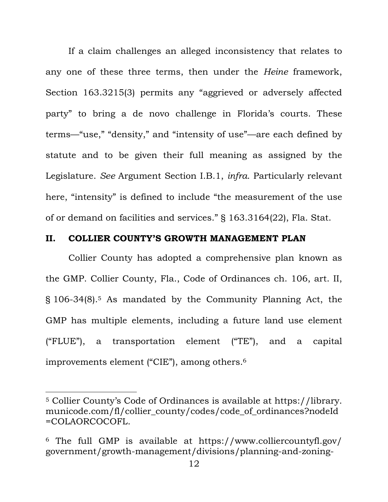If a claim challenges an alleged inconsistency that relates to any one of these three terms, then under the *Heine* framework, Section 163.3215(3) permits any "aggrieved or adversely affected party" to bring a de novo challenge in Florida's courts. These terms—"use," "density," and "intensity of use"—are each defined by statute and to be given their full meaning as assigned by the Legislature. *See* Argument Section I.B.1, *infra*. Particularly relevant here, "intensity" is defined to include "the measurement of the use of or demand on facilities and services." § 163.3164(22), Fla. Stat.

#### **II. COLLIER COUNTY'S GROWTH MANAGEMENT PLAN**

Collier County has adopted a comprehensive plan known as the GMP. Collier County, Fla., Code of Ordinances ch. 106, art. II, § 106-34(8).5 As mandated by the Community Planning Act, the GMP has multiple elements, including a future land use element ("FLUE"), a transportation element ("TE"), and a capital improvements element ("CIE"), among others.<sup>6</sup>

<sup>5</sup> Collier County's Code of Ordinances is available at https://library. municode.com/fl/collier\_county/codes/code\_of\_ordinances?nodeId =COLAORCOCOFL.

<sup>6</sup> The full GMP is available at https://www.colliercountyfl.gov/ government/growth-management/divisions/planning-and-zoning-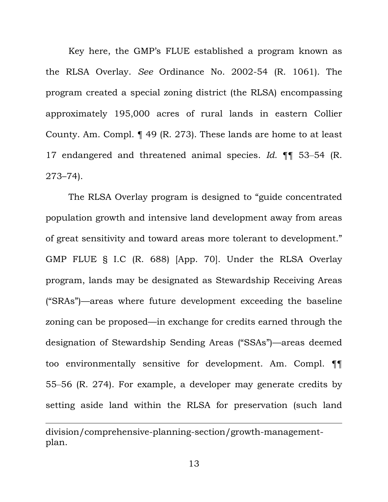Key here, the GMP's FLUE established a program known as the RLSA Overlay. *See* Ordinance No. 2002-54 (R. 1061). The program created a special zoning district (the RLSA) encompassing approximately 195,000 acres of rural lands in eastern Collier County. Am. Compl. ¶ 49 (R. 273). These lands are home to at least 17 endangered and threatened animal species. *Id.* ¶¶ 53‒54 (R. 273–74).

The RLSA Overlay program is designed to "guide concentrated population growth and intensive land development away from areas of great sensitivity and toward areas more tolerant to development." GMP FLUE § I.C (R. 688) [App. 70]. Under the RLSA Overlay program, lands may be designated as Stewardship Receiving Areas ("SRAs")—areas where future development exceeding the baseline zoning can be proposed—in exchange for credits earned through the designation of Stewardship Sending Areas ("SSAs")—areas deemed too environmentally sensitive for development. Am. Compl. ¶¶ 55‒56 (R. 274). For example, a developer may generate credits by setting aside land within the RLSA for preservation (such land

division/comprehensive-planning-section/growth-managementplan.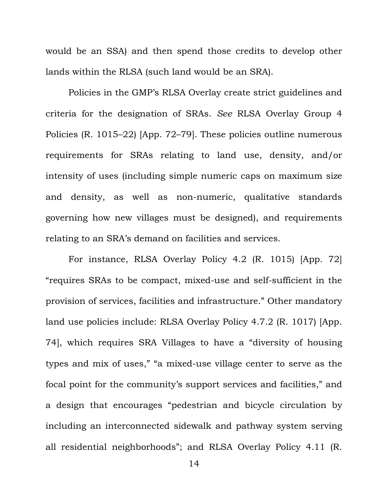would be an SSA) and then spend those credits to develop other lands within the RLSA (such land would be an SRA).

Policies in the GMP's RLSA Overlay create strict guidelines and criteria for the designation of SRAs. *See* RLSA Overlay Group 4 Policies (R. 1015–22) [App. 72–79]. These policies outline numerous requirements for SRAs relating to land use, density, and/or intensity of uses (including simple numeric caps on maximum size and density, as well as non-numeric, qualitative standards governing how new villages must be designed), and requirements relating to an SRA's demand on facilities and services.

For instance, RLSA Overlay Policy 4.2 (R. 1015) [App. 72] "requires SRAs to be compact, mixed-use and self-sufficient in the provision of services, facilities and infrastructure." Other mandatory land use policies include: RLSA Overlay Policy 4.7.2 (R. 1017) [App. 74], which requires SRA Villages to have a "diversity of housing types and mix of uses," "a mixed-use village center to serve as the focal point for the community's support services and facilities," and a design that encourages "pedestrian and bicycle circulation by including an interconnected sidewalk and pathway system serving all residential neighborhoods"; and RLSA Overlay Policy 4.11 (R.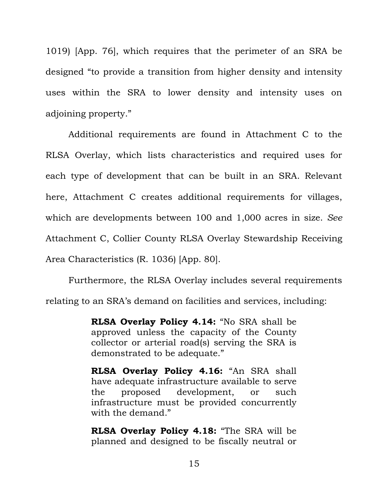1019) [App. 76], which requires that the perimeter of an SRA be designed "to provide a transition from higher density and intensity uses within the SRA to lower density and intensity uses on adjoining property."

Additional requirements are found in Attachment C to the RLSA Overlay, which lists characteristics and required uses for each type of development that can be built in an SRA. Relevant here, Attachment C creates additional requirements for villages, which are developments between 100 and 1,000 acres in size. *See* Attachment C, Collier County RLSA Overlay Stewardship Receiving Area Characteristics (R. 1036) [App. 80].

Furthermore, the RLSA Overlay includes several requirements relating to an SRA's demand on facilities and services, including:

> **RLSA Overlay Policy 4.14:** "No SRA shall be approved unless the capacity of the County collector or arterial road(s) serving the SRA is demonstrated to be adequate."

> **RLSA Overlay Policy 4.16:** "An SRA shall have adequate infrastructure available to serve the proposed development, or such infrastructure must be provided concurrently with the demand."

> **RLSA Overlay Policy 4.18:** "The SRA will be planned and designed to be fiscally neutral or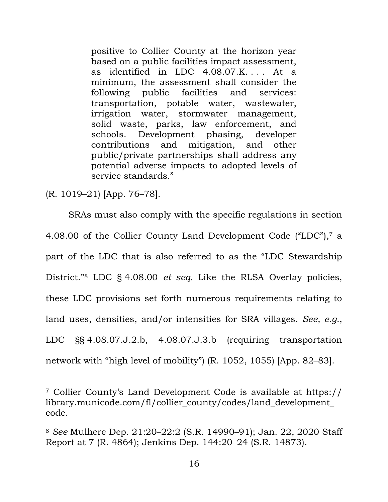positive to Collier County at the horizon year based on a public facilities impact assessment, as identified in LDC  $4.08.07$ .K.... At a minimum, the assessment shall consider the following public facilities and services: transportation, potable water, wastewater, irrigation water, stormwater management, solid waste, parks, law enforcement, and schools. Development phasing, developer contributions and mitigation, and other public/private partnerships shall address any potential adverse impacts to adopted levels of service standards."

(R. 1019–21) [App. 76–78].

SRAs must also comply with the specific regulations in section 4.08.00 of the Collier County Land Development Code ("LDC"),7 a part of the LDC that is also referred to as the "LDC Stewardship District."<sup>8</sup> LDC § 4.08.00 *et seq.* Like the RLSA Overlay policies, these LDC provisions set forth numerous requirements relating to land uses, densities, and/or intensities for SRA villages. *See, e.g.*, LDC §§ 4.08.07.J.2.b, 4.08.07.J.3.b (requiring transportation network with "high level of mobility") (R. 1052, 1055) [App. 82–83].

<sup>7</sup> Collier County's Land Development Code is available at https:// library.municode.com/fl/collier\_county/codes/land\_development\_ code.

<sup>8</sup> *See* Mulhere Dep. 21:20‒22:2 (S.R. 14990–91); Jan. 22, 2020 Staff Report at 7 (R. 4864); Jenkins Dep. 144:20‒24 (S.R. 14873).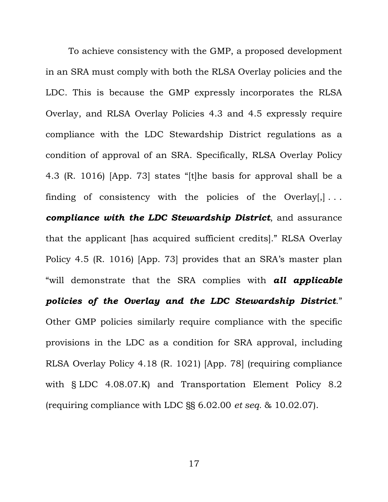To achieve consistency with the GMP, a proposed development in an SRA must comply with both the RLSA Overlay policies and the LDC. This is because the GMP expressly incorporates the RLSA Overlay, and RLSA Overlay Policies 4.3 and 4.5 expressly require compliance with the LDC Stewardship District regulations as a condition of approval of an SRA. Specifically, RLSA Overlay Policy 4.3 (R. 1016) [App. 73] states "[t]he basis for approval shall be a finding of consistency with the policies of the Overlay $[$ ,  $]$ ... *compliance with the LDC Stewardship District*, and assurance that the applicant [has acquired sufficient credits]." RLSA Overlay Policy 4.5 (R. 1016) [App. 73] provides that an SRA's master plan "will demonstrate that the SRA complies with *all applicable policies of the Overlay and the LDC Stewardship District*." Other GMP policies similarly require compliance with the specific provisions in the LDC as a condition for SRA approval, including RLSA Overlay Policy 4.18 (R. 1021) [App. 78] (requiring compliance with § LDC 4.08.07.K) and Transportation Element Policy 8.2 (requiring compliance with LDC §§ 6.02.00 *et seq.* & 10.02.07).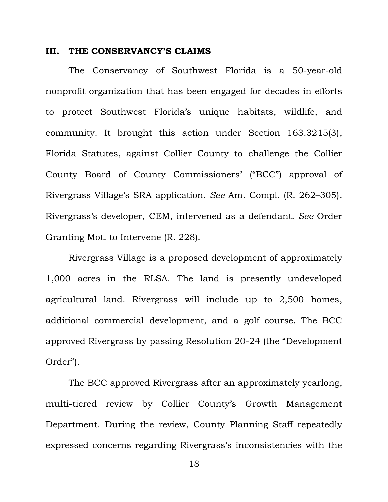#### **III. THE CONSERVANCY'S CLAIMS**

The Conservancy of Southwest Florida is a 50-year-old nonprofit organization that has been engaged for decades in efforts to protect Southwest Florida's unique habitats, wildlife, and community. It brought this action under Section 163.3215(3), Florida Statutes, against Collier County to challenge the Collier County Board of County Commissioners' ("BCC") approval of Rivergrass Village's SRA application. *See* Am. Compl. (R. 262–305). Rivergrass's developer, CEM, intervened as a defendant. *See* Order Granting Mot. to Intervene (R. 228).

Rivergrass Village is a proposed development of approximately 1,000 acres in the RLSA. The land is presently undeveloped agricultural land. Rivergrass will include up to 2,500 homes, additional commercial development, and a golf course. The BCC approved Rivergrass by passing Resolution 20-24 (the "Development Order").

The BCC approved Rivergrass after an approximately yearlong, multi-tiered review by Collier County's Growth Management Department. During the review, County Planning Staff repeatedly expressed concerns regarding Rivergrass's inconsistencies with the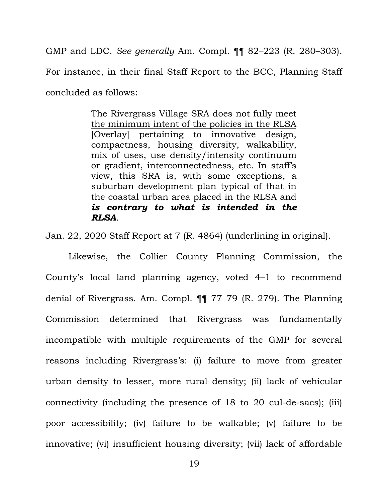GMP and LDC. *See generally* Am. Compl. ¶¶ 82‒223 (R. 280–303). For instance, in their final Staff Report to the BCC, Planning Staff concluded as follows:

> The Rivergrass Village SRA does not fully meet the minimum intent of the policies in the RLSA [Overlay] pertaining to innovative design, compactness, housing diversity, walkability, mix of uses, use density/intensity continuum or gradient, interconnectedness, etc. In staff's view, this SRA is, with some exceptions, a suburban development plan typical of that in the coastal urban area placed in the RLSA and *is contrary to what is intended in the RLSA*.

Jan. 22, 2020 Staff Report at 7 (R. 4864) (underlining in original).

Likewise, the Collier County Planning Commission, the County's local land planning agency, voted 4–1 to recommend denial of Rivergrass. Am. Compl. ¶¶ 77‒79 (R. 279). The Planning Commission determined that Rivergrass was fundamentally incompatible with multiple requirements of the GMP for several reasons including Rivergrass's: (i) failure to move from greater urban density to lesser, more rural density; (ii) lack of vehicular connectivity (including the presence of 18 to 20 cul-de-sacs); (iii) poor accessibility; (iv) failure to be walkable; (v) failure to be innovative; (vi) insufficient housing diversity; (vii) lack of affordable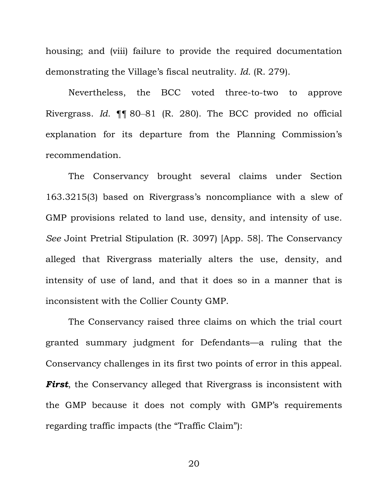housing; and (viii) failure to provide the required documentation demonstrating the Village's fiscal neutrality. *Id.* (R. 279).

Nevertheless, the BCC voted three-to-two to approve Rivergrass. *Id.* ¶¶ 80‒81 (R. 280). The BCC provided no official explanation for its departure from the Planning Commission's recommendation.

The Conservancy brought several claims under Section 163.3215(3) based on Rivergrass's noncompliance with a slew of GMP provisions related to land use, density, and intensity of use. *See* Joint Pretrial Stipulation (R. 3097) [App. 58]. The Conservancy alleged that Rivergrass materially alters the use, density, and intensity of use of land, and that it does so in a manner that is inconsistent with the Collier County GMP.

The Conservancy raised three claims on which the trial court granted summary judgment for Defendants—a ruling that the Conservancy challenges in its first two points of error in this appeal. *First*, the Conservancy alleged that Rivergrass is inconsistent with the GMP because it does not comply with GMP's requirements regarding traffic impacts (the "Traffic Claim"):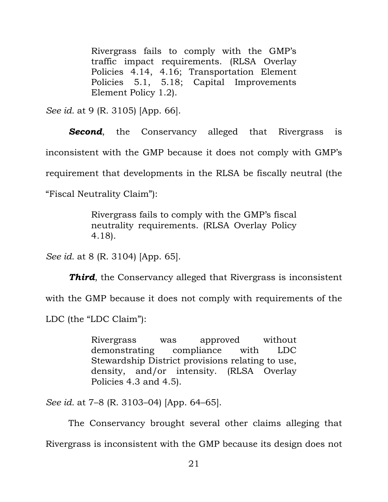Rivergrass fails to comply with the GMP's traffic impact requirements. (RLSA Overlay Policies 4.14, 4.16; Transportation Element Policies 5.1, 5.18; Capital Improvements Element Policy 1.2).

*See id.* at 9 (R. 3105) [App. 66].

**Second**, the Conservancy alleged that Rivergrass is inconsistent with the GMP because it does not comply with GMP's requirement that developments in the RLSA be fiscally neutral (the "Fiscal Neutrality Claim"):

> Rivergrass fails to comply with the GMP's fiscal neutrality requirements. (RLSA Overlay Policy 4.18).

*See id.* at 8 (R. 3104) [App. 65].

*Third*, the Conservancy alleged that Rivergrass is inconsistent with the GMP because it does not comply with requirements of the LDC (the "LDC Claim"):

> Rivergrass was approved without demonstrating compliance with LDC Stewardship District provisions relating to use, density, and/or intensity. (RLSA Overlay Policies 4.3 and 4.5).

*See id.* at 7–8 (R. 3103–04) [App. 64–65].

The Conservancy brought several other claims alleging that Rivergrass is inconsistent with the GMP because its design does not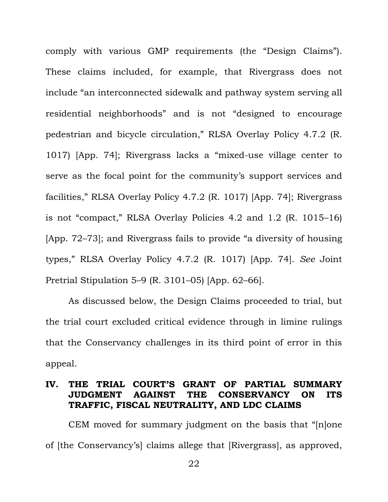comply with various GMP requirements (the "Design Claims"). These claims included, for example, that Rivergrass does not include "an interconnected sidewalk and pathway system serving all residential neighborhoods" and is not "designed to encourage pedestrian and bicycle circulation," RLSA Overlay Policy 4.7.2 (R. 1017) [App. 74]; Rivergrass lacks a "mixed-use village center to serve as the focal point for the community's support services and facilities," RLSA Overlay Policy 4.7.2 (R. 1017) [App. 74]; Rivergrass is not "compact," RLSA Overlay Policies 4.2 and 1.2 (R. 1015–16) [App. 72–73]; and Rivergrass fails to provide "a diversity of housing types," RLSA Overlay Policy 4.7.2 (R. 1017) [App. 74]. *See* Joint Pretrial Stipulation 5–9 (R. 3101–05) [App. 62–66].

As discussed below, the Design Claims proceeded to trial, but the trial court excluded critical evidence through in limine rulings that the Conservancy challenges in its third point of error in this appeal.

# **IV. THE TRIAL COURT'S GRANT OF PARTIAL SUMMARY JUDGMENT AGAINST THE CONSERVANCY ON ITS TRAFFIC, FISCAL NEUTRALITY, AND LDC CLAIMS**

CEM moved for summary judgment on the basis that "[n]one of [the Conservancy's] claims allege that [Rivergrass], as approved,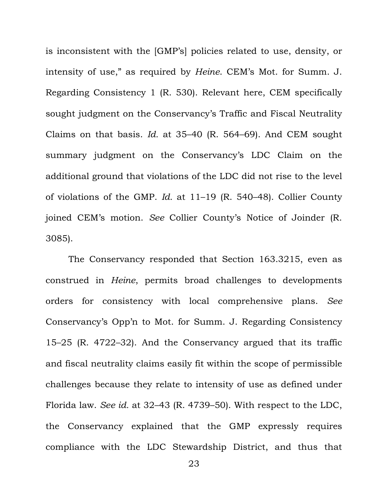is inconsistent with the [GMP's] policies related to use, density, or intensity of use," as required by *Heine*. CEM's Mot. for Summ. J. Regarding Consistency 1 (R. 530). Relevant here, CEM specifically sought judgment on the Conservancy's Traffic and Fiscal Neutrality Claims on that basis. *Id.* at 35–40 (R. 564–69). And CEM sought summary judgment on the Conservancy's LDC Claim on the additional ground that violations of the LDC did not rise to the level of violations of the GMP. *Id.* at 11–19 (R. 540–48). Collier County joined CEM's motion. *See* Collier County's Notice of Joinder (R. 3085).

The Conservancy responded that Section 163.3215, even as construed in *Heine*, permits broad challenges to developments orders for consistency with local comprehensive plans. *See* Conservancy's Opp'n to Mot. for Summ. J. Regarding Consistency 15–25 (R. 4722–32). And the Conservancy argued that its traffic and fiscal neutrality claims easily fit within the scope of permissible challenges because they relate to intensity of use as defined under Florida law. *See id.* at 32–43 (R. 4739–50). With respect to the LDC, the Conservancy explained that the GMP expressly requires compliance with the LDC Stewardship District, and thus that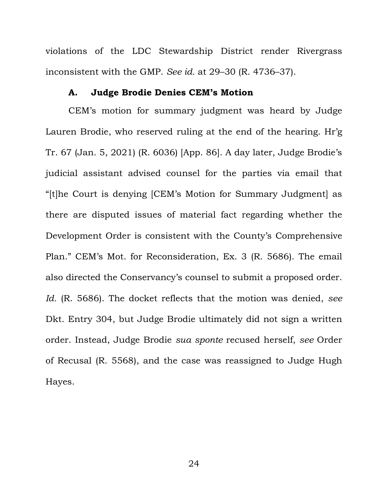violations of the LDC Stewardship District render Rivergrass inconsistent with the GMP. *See id.* at 29–30 (R. 4736–37).

#### **A. Judge Brodie Denies CEM's Motion**

CEM's motion for summary judgment was heard by Judge Lauren Brodie, who reserved ruling at the end of the hearing. Hr'g Tr. 67 (Jan. 5, 2021) (R. 6036) [App. 86]. A day later, Judge Brodie's judicial assistant advised counsel for the parties via email that "[t]he Court is denying [CEM's Motion for Summary Judgment] as there are disputed issues of material fact regarding whether the Development Order is consistent with the County's Comprehensive Plan." CEM's Mot. for Reconsideration, Ex. 3 (R. 5686). The email also directed the Conservancy's counsel to submit a proposed order. *Id.* (R. 5686). The docket reflects that the motion was denied, *see*  Dkt. Entry 304, but Judge Brodie ultimately did not sign a written order. Instead, Judge Brodie *sua sponte* recused herself, *see* Order of Recusal (R. 5568), and the case was reassigned to Judge Hugh Hayes.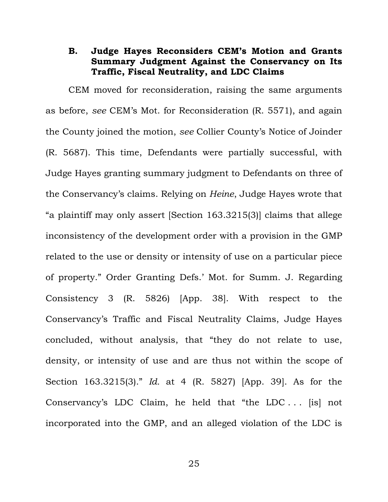### **B. Judge Hayes Reconsiders CEM's Motion and Grants Summary Judgment Against the Conservancy on Its Traffic, Fiscal Neutrality, and LDC Claims**

CEM moved for reconsideration, raising the same arguments as before, *see* CEM's Mot. for Reconsideration (R. 5571), and again the County joined the motion, *see* Collier County's Notice of Joinder (R. 5687). This time, Defendants were partially successful, with Judge Hayes granting summary judgment to Defendants on three of the Conservancy's claims. Relying on *Heine*, Judge Hayes wrote that "a plaintiff may only assert [Section 163.3215(3)] claims that allege inconsistency of the development order with a provision in the GMP related to the use or density or intensity of use on a particular piece of property." Order Granting Defs.' Mot. for Summ. J. Regarding Consistency 3 (R. 5826) [App. 38]. With respect to the Conservancy's Traffic and Fiscal Neutrality Claims, Judge Hayes concluded, without analysis, that "they do not relate to use, density, or intensity of use and are thus not within the scope of Section 163.3215(3)." *Id.* at 4 (R. 5827) [App. 39]. As for the Conservancy's LDC Claim, he held that "the LDC . . . [is] not incorporated into the GMP, and an alleged violation of the LDC is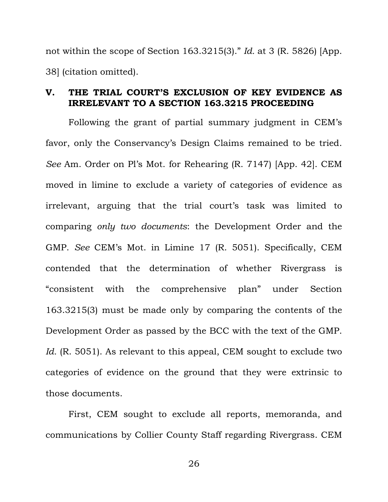not within the scope of Section 163.3215(3)." *Id.* at 3 (R. 5826) [App. 38] (citation omitted).

# **V. THE TRIAL COURT'S EXCLUSION OF KEY EVIDENCE AS IRRELEVANT TO A SECTION 163.3215 PROCEEDING**

Following the grant of partial summary judgment in CEM's favor, only the Conservancy's Design Claims remained to be tried. *See* Am. Order on Pl's Mot. for Rehearing (R. 7147) [App. 42]. CEM moved in limine to exclude a variety of categories of evidence as irrelevant, arguing that the trial court's task was limited to comparing *only two documents*: the Development Order and the GMP. *See* CEM's Mot. in Limine 17 (R. 5051). Specifically, CEM contended that the determination of whether Rivergrass is "consistent with the comprehensive plan" under Section 163.3215(3) must be made only by comparing the contents of the Development Order as passed by the BCC with the text of the GMP. Id. (R. 5051). As relevant to this appeal, CEM sought to exclude two categories of evidence on the ground that they were extrinsic to those documents.

First, CEM sought to exclude all reports, memoranda, and communications by Collier County Staff regarding Rivergrass. CEM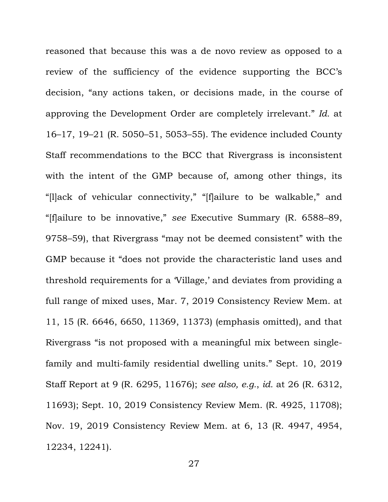reasoned that because this was a de novo review as opposed to a review of the sufficiency of the evidence supporting the BCC's decision, "any actions taken, or decisions made, in the course of approving the Development Order are completely irrelevant." *Id.* at 16–17, 19–21 (R. 5050–51, 5053–55). The evidence included County Staff recommendations to the BCC that Rivergrass is inconsistent with the intent of the GMP because of, among other things, its "[l]ack of vehicular connectivity," "[f]ailure to be walkable," and "[f]ailure to be innovative," *see* Executive Summary (R. 6588–89, 9758–59), that Rivergrass "may not be deemed consistent" with the GMP because it "does not provide the characteristic land uses and threshold requirements for a 'Village,' and deviates from providing a full range of mixed uses, Mar. 7, 2019 Consistency Review Mem. at 11, 15 (R. 6646, 6650, 11369, 11373) (emphasis omitted), and that Rivergrass "is not proposed with a meaningful mix between singlefamily and multi-family residential dwelling units." Sept. 10, 2019 Staff Report at 9 (R. 6295, 11676); *see also, e.g.*, *id.* at 26 (R. 6312, 11693); Sept. 10, 2019 Consistency Review Mem. (R. 4925, 11708); Nov. 19, 2019 Consistency Review Mem. at 6, 13 (R. 4947, 4954, 12234, 12241).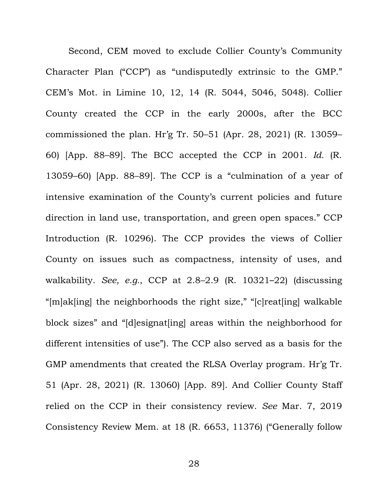Second, CEM moved to exclude Collier County's Community Character Plan ("CCP") as "undisputedly extrinsic to the GMP." CEM's Mot. in Limine 10, 12, 14 (R. 5044, 5046, 5048). Collier County created the CCP in the early 2000s, after the BCC commissioned the plan. Hr'g Tr. 50–51 (Apr. 28, 2021) (R. 13059– 60) [App. 88–89]. The BCC accepted the CCP in 2001. *Id.* (R. 13059–60) [App. 88–89]. The CCP is a "culmination of a year of intensive examination of the County's current policies and future direction in land use, transportation, and green open spaces." CCP Introduction (R. 10296). The CCP provides the views of Collier County on issues such as compactness, intensity of uses, and walkability. *See, e.g.*, CCP at 2.8–2.9 (R. 10321–22) (discussing "[m]ak[ing] the neighborhoods the right size," "[c]reat[ing] walkable block sizes" and "[d]esignat[ing] areas within the neighborhood for different intensities of use"). The CCP also served as a basis for the GMP amendments that created the RLSA Overlay program. Hr'g Tr. 51 (Apr. 28, 2021) (R. 13060) [App. 89]. And Collier County Staff relied on the CCP in their consistency review. *See* Mar. 7, 2019 Consistency Review Mem. at 18 (R. 6653, 11376) ("Generally follow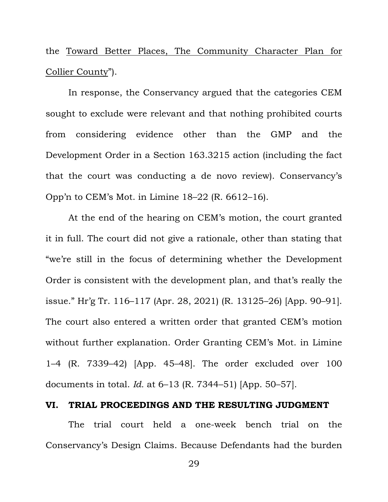the Toward Better Places, The Community Character Plan for Collier County").

In response, the Conservancy argued that the categories CEM sought to exclude were relevant and that nothing prohibited courts from considering evidence other than the GMP and the Development Order in a Section 163.3215 action (including the fact that the court was conducting a de novo review). Conservancy's Opp'n to CEM's Mot. in Limine 18–22 (R. 6612–16).

At the end of the hearing on CEM's motion, the court granted it in full. The court did not give a rationale, other than stating that "we're still in the focus of determining whether the Development Order is consistent with the development plan, and that's really the issue." Hr'g Tr. 116–117 (Apr. 28, 2021) (R. 13125–26) [App. 90–91]. The court also entered a written order that granted CEM's motion without further explanation. Order Granting CEM's Mot. in Limine 1–4 (R. 7339–42) [App. 45–48]. The order excluded over 100 documents in total. *Id.* at 6–13 (R. 7344–51) [App. 50–57].

#### **VI. TRIAL PROCEEDINGS AND THE RESULTING JUDGMENT**

The trial court held a one-week bench trial on the Conservancy's Design Claims. Because Defendants had the burden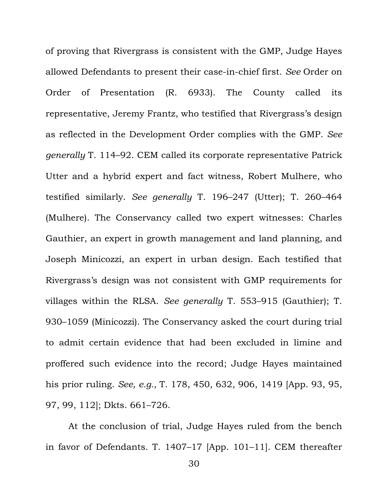of proving that Rivergrass is consistent with the GMP, Judge Hayes allowed Defendants to present their case-in-chief first. *See* Order on Order of Presentation (R. 6933). The County called its representative, Jeremy Frantz, who testified that Rivergrass's design as reflected in the Development Order complies with the GMP. *See generally* T. 114–92. CEM called its corporate representative Patrick Utter and a hybrid expert and fact witness, Robert Mulhere, who testified similarly. *See generally* T. 196–247 (Utter); T. 260–464 (Mulhere). The Conservancy called two expert witnesses: Charles Gauthier, an expert in growth management and land planning, and Joseph Minicozzi, an expert in urban design. Each testified that Rivergrass's design was not consistent with GMP requirements for villages within the RLSA. *See generally* T. 553–915 (Gauthier); T. 930–1059 (Minicozzi). The Conservancy asked the court during trial to admit certain evidence that had been excluded in limine and proffered such evidence into the record; Judge Hayes maintained his prior ruling. *See, e.g.*, T. 178, 450, 632, 906, 1419 [App. 93, 95, 97, 99, 112]; Dkts. 661–726.

At the conclusion of trial, Judge Hayes ruled from the bench in favor of Defendants. T. 1407–17 [App. 101–11]. CEM thereafter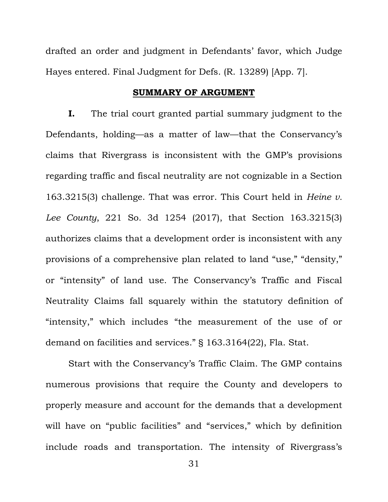drafted an order and judgment in Defendants' favor, which Judge Hayes entered. Final Judgment for Defs. (R. 13289) [App. 7].

## **SUMMARY OF ARGUMENT**

**I.** The trial court granted partial summary judgment to the Defendants, holding—as a matter of law—that the Conservancy's claims that Rivergrass is inconsistent with the GMP's provisions regarding traffic and fiscal neutrality are not cognizable in a Section 163.3215(3) challenge. That was error. This Court held in *Heine v. Lee County*, 221 So. 3d 1254 (2017), that Section 163.3215(3) authorizes claims that a development order is inconsistent with any provisions of a comprehensive plan related to land "use," "density," or "intensity" of land use. The Conservancy's Traffic and Fiscal Neutrality Claims fall squarely within the statutory definition of "intensity," which includes "the measurement of the use of or demand on facilities and services." § 163.3164(22), Fla. Stat.

Start with the Conservancy's Traffic Claim. The GMP contains numerous provisions that require the County and developers to properly measure and account for the demands that a development will have on "public facilities" and "services," which by definition include roads and transportation. The intensity of Rivergrass's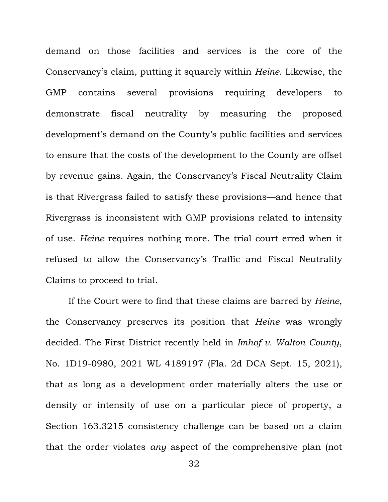demand on those facilities and services is the core of the Conservancy's claim, putting it squarely within *Heine*. Likewise, the GMP contains several provisions requiring developers to demonstrate fiscal neutrality by measuring the proposed development's demand on the County's public facilities and services to ensure that the costs of the development to the County are offset by revenue gains. Again, the Conservancy's Fiscal Neutrality Claim is that Rivergrass failed to satisfy these provisions—and hence that Rivergrass is inconsistent with GMP provisions related to intensity of use. *Heine* requires nothing more. The trial court erred when it refused to allow the Conservancy's Traffic and Fiscal Neutrality Claims to proceed to trial.

If the Court were to find that these claims are barred by *Heine*, the Conservancy preserves its position that *Heine* was wrongly decided. The First District recently held in *Imhof v. Walton County*, No. 1D19-0980, 2021 WL 4189197 (Fla. 2d DCA Sept. 15, 2021), that as long as a development order materially alters the use or density or intensity of use on a particular piece of property, a Section 163.3215 consistency challenge can be based on a claim that the order violates *any* aspect of the comprehensive plan (not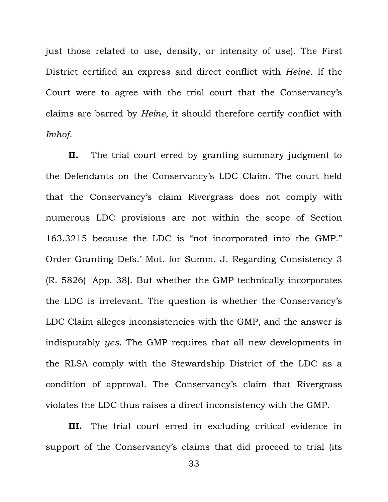just those related to use, density, or intensity of use). The First District certified an express and direct conflict with *Heine*. If the Court were to agree with the trial court that the Conservancy's claims are barred by *Heine*, it should therefore certify conflict with *Imhof*.

**II.** The trial court erred by granting summary judgment to the Defendants on the Conservancy's LDC Claim. The court held that the Conservancy's claim Rivergrass does not comply with numerous LDC provisions are not within the scope of Section 163.3215 because the LDC is "not incorporated into the GMP." Order Granting Defs.' Mot. for Summ. J. Regarding Consistency 3 (R. 5826) [App. 38]. But whether the GMP technically incorporates the LDC is irrelevant. The question is whether the Conservancy's LDC Claim alleges inconsistencies with the GMP, and the answer is indisputably *yes*. The GMP requires that all new developments in the RLSA comply with the Stewardship District of the LDC as a condition of approval. The Conservancy's claim that Rivergrass violates the LDC thus raises a direct inconsistency with the GMP.

**III.** The trial court erred in excluding critical evidence in support of the Conservancy's claims that did proceed to trial (its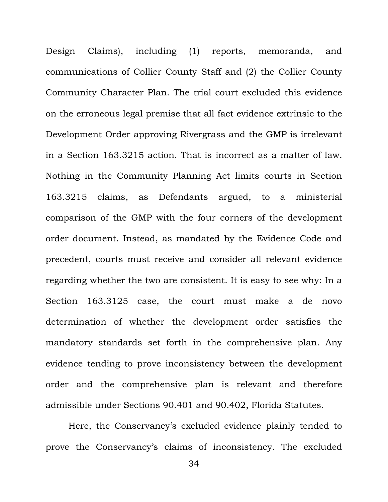Design Claims), including (1) reports, memoranda, and communications of Collier County Staff and (2) the Collier County Community Character Plan. The trial court excluded this evidence on the erroneous legal premise that all fact evidence extrinsic to the Development Order approving Rivergrass and the GMP is irrelevant in a Section 163.3215 action. That is incorrect as a matter of law. Nothing in the Community Planning Act limits courts in Section 163.3215 claims, as Defendants argued, to a ministerial comparison of the GMP with the four corners of the development order document. Instead, as mandated by the Evidence Code and precedent, courts must receive and consider all relevant evidence regarding whether the two are consistent. It is easy to see why: In a Section 163.3125 case, the court must make a de novo determination of whether the development order satisfies the mandatory standards set forth in the comprehensive plan. Any evidence tending to prove inconsistency between the development order and the comprehensive plan is relevant and therefore admissible under Sections 90.401 and 90.402, Florida Statutes.

Here, the Conservancy's excluded evidence plainly tended to prove the Conservancy's claims of inconsistency. The excluded

34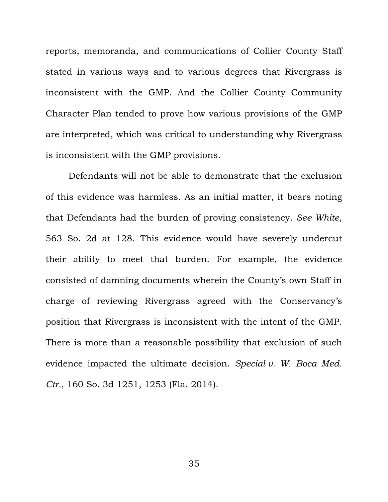reports, memoranda, and communications of Collier County Staff stated in various ways and to various degrees that Rivergrass is inconsistent with the GMP. And the Collier County Community Character Plan tended to prove how various provisions of the GMP are interpreted, which was critical to understanding why Rivergrass is inconsistent with the GMP provisions.

Defendants will not be able to demonstrate that the exclusion of this evidence was harmless. As an initial matter, it bears noting that Defendants had the burden of proving consistency. *See White*, 563 So. 2d at 128. This evidence would have severely undercut their ability to meet that burden. For example, the evidence consisted of damning documents wherein the County's own Staff in charge of reviewing Rivergrass agreed with the Conservancy's position that Rivergrass is inconsistent with the intent of the GMP. There is more than a reasonable possibility that exclusion of such evidence impacted the ultimate decision. *Special v. W. Boca Med. Ctr.*, 160 So. 3d 1251, 1253 (Fla. 2014).

35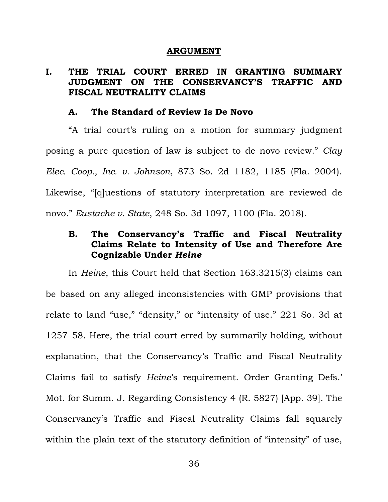#### **ARGUMENT**

# **I. THE TRIAL COURT ERRED IN GRANTING SUMMARY JUDGMENT ON THE CONSERVANCY'S TRAFFIC AND FISCAL NEUTRALITY CLAIMS**

### **A. The Standard of Review Is De Novo**

"A trial court's ruling on a motion for summary judgment posing a pure question of law is subject to de novo review." *Clay Elec. Coop., Inc. v. Johnson*, 873 So. 2d 1182, 1185 (Fla. 2004). Likewise, "[q]uestions of statutory interpretation are reviewed de novo." *Eustache v. State*, 248 So. 3d 1097, 1100 (Fla. 2018).

# **B. The Conservancy's Traffic and Fiscal Neutrality Claims Relate to Intensity of Use and Therefore Are Cognizable Under** *Heine*

In *Heine*, this Court held that Section 163.3215(3) claims can be based on any alleged inconsistencies with GMP provisions that relate to land "use," "density," or "intensity of use." 221 So. 3d at 1257–58. Here, the trial court erred by summarily holding, without explanation, that the Conservancy's Traffic and Fiscal Neutrality Claims fail to satisfy *Heine*'s requirement. Order Granting Defs.' Mot. for Summ. J. Regarding Consistency 4 (R. 5827) [App. 39]. The Conservancy's Traffic and Fiscal Neutrality Claims fall squarely within the plain text of the statutory definition of "intensity" of use,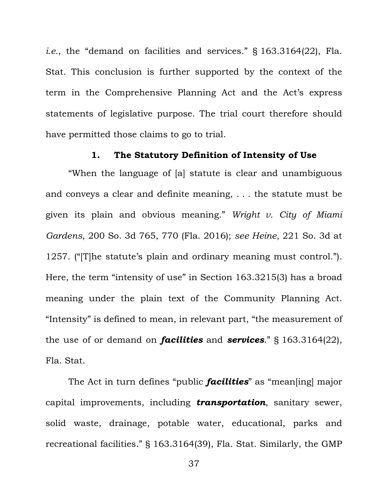*i.e.*, the "demand on facilities and services." § 163.3164(22), Fla. Stat. This conclusion is further supported by the context of the term in the Comprehensive Planning Act and the Act's express statements of legislative purpose. The trial court therefore should have permitted those claims to go to trial.

### **1. The Statutory Definition of Intensity of Use**

"When the language of [a] statute is clear and unambiguous and conveys a clear and definite meaning, . . . the statute must be given its plain and obvious meaning." *Wright v. City of Miami Gardens*, 200 So. 3d 765, 770 (Fla. 2016); *see Heine*, 221 So. 3d at 1257. ("[T]he statute's plain and ordinary meaning must control."). Here, the term "intensity of use" in Section 163.3215(3) has a broad meaning under the plain text of the Community Planning Act. "Intensity" is defined to mean, in relevant part, "the measurement of the use of or demand on *facilities* and *services*." § 163.3164(22), Fla. Stat.

The Act in turn defines "public *facilities*" as "mean[ing] major capital improvements, including *transportation*, sanitary sewer, solid waste, drainage, potable water, educational, parks and recreational facilities." § 163.3164(39), Fla. Stat. Similarly, the GMP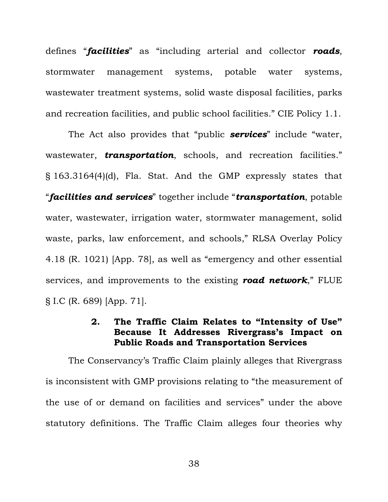defines "*facilities*" as "including arterial and collector *roads*, stormwater management systems, potable water systems, wastewater treatment systems, solid waste disposal facilities, parks and recreation facilities, and public school facilities." CIE Policy 1.1.

The Act also provides that "public *services*" include "water, wastewater, *transportation*, schools, and recreation facilities." § 163.3164(4)(d), Fla. Stat. And the GMP expressly states that "*facilities and services*" together include "*transportation*, potable water, wastewater, irrigation water, stormwater management, solid waste, parks, law enforcement, and schools," RLSA Overlay Policy 4.18 (R. 1021) [App. 78], as well as "emergency and other essential services, and improvements to the existing *road network*," FLUE § I.C (R. 689) [App. 71].

# **2. The Traffic Claim Relates to "Intensity of Use" Because It Addresses Rivergrass's Impact on Public Roads and Transportation Services**

The Conservancy's Traffic Claim plainly alleges that Rivergrass is inconsistent with GMP provisions relating to "the measurement of the use of or demand on facilities and services" under the above statutory definitions. The Traffic Claim alleges four theories why

38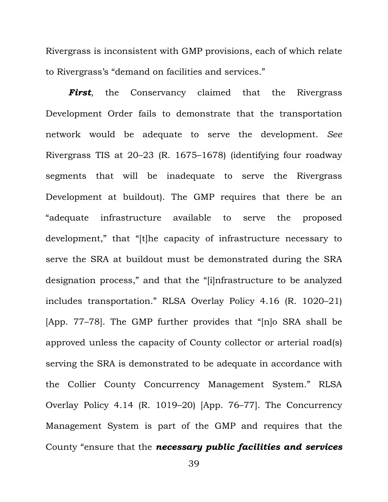Rivergrass is inconsistent with GMP provisions, each of which relate to Rivergrass's "demand on facilities and services."

*First*, the Conservancy claimed that the Rivergrass Development Order fails to demonstrate that the transportation network would be adequate to serve the development. *See*  Rivergrass TIS at 20–23 (R. 1675–1678) (identifying four roadway segments that will be inadequate to serve the Rivergrass Development at buildout). The GMP requires that there be an "adequate infrastructure available to serve the proposed development," that "[t]he capacity of infrastructure necessary to serve the SRA at buildout must be demonstrated during the SRA designation process," and that the "[i]nfrastructure to be analyzed includes transportation." RLSA Overlay Policy 4.16 (R. 1020–21) [App. 77–78]. The GMP further provides that "[n]o SRA shall be approved unless the capacity of County collector or arterial road(s) serving the SRA is demonstrated to be adequate in accordance with the Collier County Concurrency Management System." RLSA Overlay Policy 4.14 (R. 1019–20) [App. 76–77]. The Concurrency Management System is part of the GMP and requires that the County "ensure that the *necessary public facilities and services*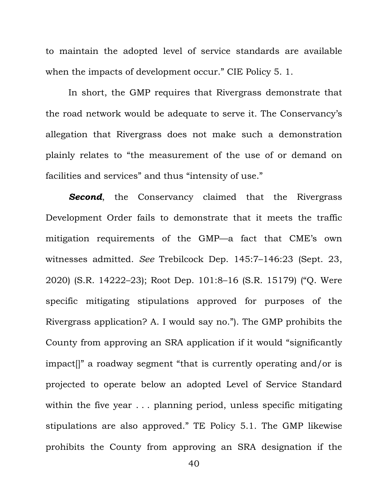to maintain the adopted level of service standards are available when the impacts of development occur." CIE Policy 5. 1.

In short, the GMP requires that Rivergrass demonstrate that the road network would be adequate to serve it. The Conservancy's allegation that Rivergrass does not make such a demonstration plainly relates to "the measurement of the use of or demand on facilities and services" and thus "intensity of use."

**Second**, the Conservancy claimed that the Rivergrass Development Order fails to demonstrate that it meets the traffic mitigation requirements of the GMP—a fact that CME's own witnesses admitted. *See* Trebilcock Dep. 145:7–146:23 (Sept. 23, 2020) (S.R. 14222–23); Root Dep. 101:8–16 (S.R. 15179) ("Q. Were specific mitigating stipulations approved for purposes of the Rivergrass application? A. I would say no."). The GMP prohibits the County from approving an SRA application if it would "significantly impact[]" a roadway segment "that is currently operating and/or is projected to operate below an adopted Level of Service Standard within the five year . . . planning period, unless specific mitigating stipulations are also approved." TE Policy 5.1. The GMP likewise prohibits the County from approving an SRA designation if the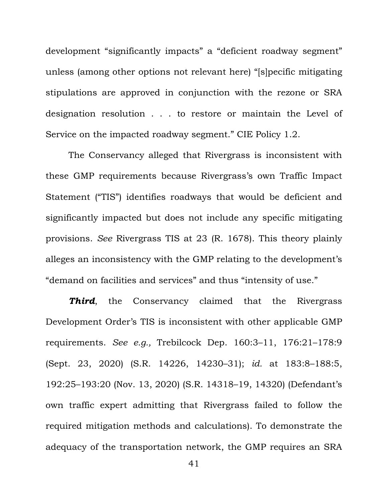development "significantly impacts" a "deficient roadway segment" unless (among other options not relevant here) "[s]pecific mitigating stipulations are approved in conjunction with the rezone or SRA designation resolution . . . to restore or maintain the Level of Service on the impacted roadway segment." CIE Policy 1.2.

The Conservancy alleged that Rivergrass is inconsistent with these GMP requirements because Rivergrass's own Traffic Impact Statement ("TIS") identifies roadways that would be deficient and significantly impacted but does not include any specific mitigating provisions. *See* Rivergrass TIS at 23 (R. 1678). This theory plainly alleges an inconsistency with the GMP relating to the development's "demand on facilities and services" and thus "intensity of use."

**Third**, the Conservancy claimed that the Rivergrass Development Order's TIS is inconsistent with other applicable GMP requirements. *See e.g.,* Trebilcock Dep. 160:3–11, 176:21–178:9 (Sept. 23, 2020) (S.R. 14226, 14230–31); *id.* at 183:8–188:5, 192:25–193:20 (Nov. 13, 2020) (S.R. 14318–19, 14320) (Defendant's own traffic expert admitting that Rivergrass failed to follow the required mitigation methods and calculations). To demonstrate the adequacy of the transportation network, the GMP requires an SRA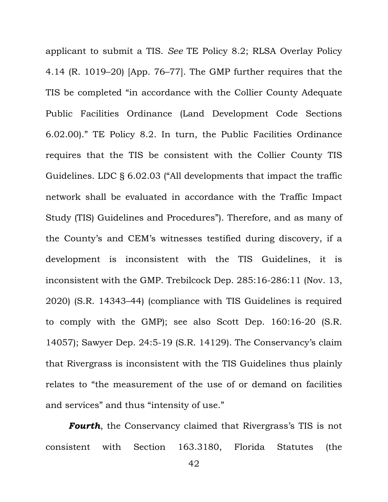applicant to submit a TIS. *See* TE Policy 8.2; RLSA Overlay Policy 4.14 (R. 1019–20) [App. 76–77]. The GMP further requires that the TIS be completed "in accordance with the Collier County Adequate Public Facilities Ordinance (Land Development Code Sections 6.02.00)." TE Policy 8.2. In turn, the Public Facilities Ordinance requires that the TIS be consistent with the Collier County TIS Guidelines. LDC § 6.02.03 ("All developments that impact the traffic network shall be evaluated in accordance with the Traffic Impact Study (TIS) Guidelines and Procedures"). Therefore, and as many of the County's and CEM's witnesses testified during discovery, if a development is inconsistent with the TIS Guidelines, it is inconsistent with the GMP. Trebilcock Dep. 285:16-286:11 (Nov. 13, 2020) (S.R. 14343–44) (compliance with TIS Guidelines is required to comply with the GMP); see also Scott Dep. 160:16-20 (S.R. 14057); Sawyer Dep. 24:5-19 (S.R. 14129). The Conservancy's claim that Rivergrass is inconsistent with the TIS Guidelines thus plainly relates to "the measurement of the use of or demand on facilities and services" and thus "intensity of use."

*Fourth*, the Conservancy claimed that Rivergrass's TIS is not consistent with Section 163.3180, Florida Statutes (the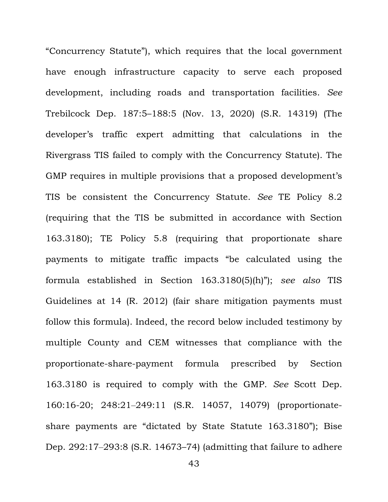"Concurrency Statute"), which requires that the local government have enough infrastructure capacity to serve each proposed development, including roads and transportation facilities. *See*  Trebilcock Dep. 187:5–188:5 (Nov. 13, 2020) (S.R. 14319) (The developer's traffic expert admitting that calculations in the Rivergrass TIS failed to comply with the Concurrency Statute). The GMP requires in multiple provisions that a proposed development's TIS be consistent the Concurrency Statute. *See* TE Policy 8.2 (requiring that the TIS be submitted in accordance with Section 163.3180); TE Policy 5.8 (requiring that proportionate share payments to mitigate traffic impacts "be calculated using the formula established in Section 163.3180(5)(h)"); *see also* TIS Guidelines at 14 (R. 2012) (fair share mitigation payments must follow this formula). Indeed, the record below included testimony by multiple County and CEM witnesses that compliance with the proportionate-share-payment formula prescribed by Section 163.3180 is required to comply with the GMP. *See* Scott Dep. 160:16-20; 248:21-249:11 (S.R. 14057, 14079) (proportionateshare payments are "dictated by State Statute 163.3180"); Bise Dep. 292:17‒293:8 (S.R. 14673–74) (admitting that failure to adhere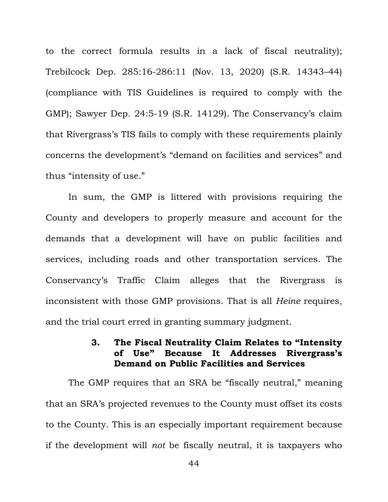to the correct formula results in a lack of fiscal neutrality); Trebilcock Dep. 285:16-286:11 (Nov. 13, 2020) (S.R. 14343–44) (compliance with TIS Guidelines is required to comply with the GMP); Sawyer Dep. 24:5-19 (S.R. 14129). The Conservancy's claim that Rivergrass's TIS fails to comply with these requirements plainly concerns the development's "demand on facilities and services" and thus "intensity of use."

In sum, the GMP is littered with provisions requiring the County and developers to properly measure and account for the demands that a development will have on public facilities and services, including roads and other transportation services. The Conservancy's Traffic Claim alleges that the Rivergrass is inconsistent with those GMP provisions. That is all *Heine* requires, and the trial court erred in granting summary judgment.

# **3. The Fiscal Neutrality Claim Relates to "Intensity of Use" Because It Addresses Rivergrass's Demand on Public Facilities and Services**

The GMP requires that an SRA be "fiscally neutral," meaning that an SRA's projected revenues to the County must offset its costs to the County. This is an especially important requirement because if the development will *not* be fiscally neutral, it is taxpayers who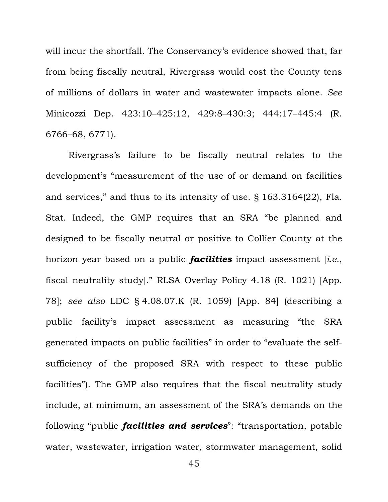will incur the shortfall. The Conservancy's evidence showed that, far from being fiscally neutral, Rivergrass would cost the County tens of millions of dollars in water and wastewater impacts alone. *See*  Minicozzi Dep. 423:10–425:12, 429:8–430:3; 444:17–445:4 (R. 6766–68, 6771).

Rivergrass's failure to be fiscally neutral relates to the development's "measurement of the use of or demand on facilities and services," and thus to its intensity of use. § 163.3164(22), Fla. Stat. Indeed, the GMP requires that an SRA "be planned and designed to be fiscally neutral or positive to Collier County at the horizon year based on a public *facilities* impact assessment [*i.e.*, fiscal neutrality study]." RLSA Overlay Policy 4.18 (R. 1021) [App. 78]; *see also* LDC § 4.08.07.K (R. 1059) [App. 84] (describing a public facility's impact assessment as measuring "the SRA generated impacts on public facilities" in order to "evaluate the selfsufficiency of the proposed SRA with respect to these public facilities"). The GMP also requires that the fiscal neutrality study include, at minimum, an assessment of the SRA's demands on the following "public *facilities and services*": "transportation, potable water, wastewater, irrigation water, stormwater management, solid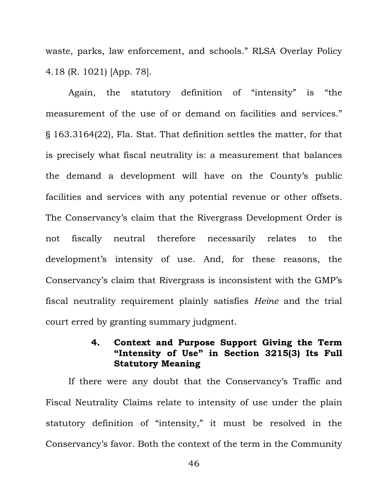waste, parks, law enforcement, and schools." RLSA Overlay Policy 4.18 (R. 1021) [App. 78].

Again, the statutory definition of "intensity" is "the measurement of the use of or demand on facilities and services." § 163.3164(22), Fla. Stat. That definition settles the matter, for that is precisely what fiscal neutrality is: a measurement that balances the demand a development will have on the County's public facilities and services with any potential revenue or other offsets. The Conservancy's claim that the Rivergrass Development Order is not fiscally neutral therefore necessarily relates to the development's intensity of use. And, for these reasons, the Conservancy's claim that Rivergrass is inconsistent with the GMP's fiscal neutrality requirement plainly satisfies *Heine* and the trial court erred by granting summary judgment.

# **4. Context and Purpose Support Giving the Term "Intensity of Use" in Section 3215(3) Its Full Statutory Meaning**

If there were any doubt that the Conservancy's Traffic and Fiscal Neutrality Claims relate to intensity of use under the plain statutory definition of "intensity," it must be resolved in the Conservancy's favor. Both the context of the term in the Community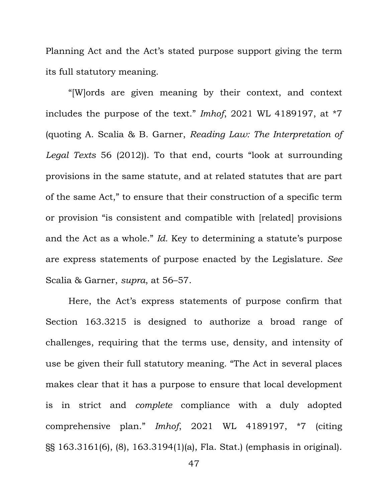Planning Act and the Act's stated purpose support giving the term its full statutory meaning.

"[W]ords are given meaning by their context, and context includes the purpose of the text." *Imhof*, 2021 WL 4189197, at \*7 (quoting A. Scalia & B. Garner, *Reading Law: The Interpretation of Legal Texts* 56 (2012)). To that end, courts "look at surrounding provisions in the same statute, and at related statutes that are part of the same Act," to ensure that their construction of a specific term or provision "is consistent and compatible with [related] provisions and the Act as a whole." *Id.* Key to determining a statute's purpose are express statements of purpose enacted by the Legislature. *See* Scalia & Garner, *supra*, at 56–57.

Here, the Act's express statements of purpose confirm that Section 163.3215 is designed to authorize a broad range of challenges, requiring that the terms use, density, and intensity of use be given their full statutory meaning. "The Act in several places makes clear that it has a purpose to ensure that local development is in strict and *complete* compliance with a duly adopted comprehensive plan." *Imhof*, 2021 WL 4189197, \*7 (citing §§ 163.3161(6), (8), 163.3194(1)(a), Fla. Stat.) (emphasis in original).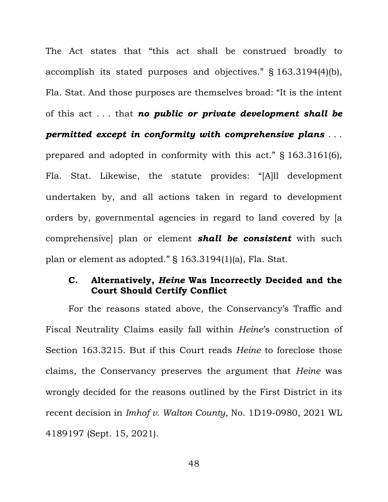The Act states that "this act shall be construed broadly to accomplish its stated purposes and objectives." § 163.3194(4)(b), Fla. Stat. And those purposes are themselves broad: "It is the intent of this act . . . that *no public or private development shall be permitted except in conformity with comprehensive plans* . . . prepared and adopted in conformity with this act." § 163.3161(6), Fla. Stat. Likewise, the statute provides: "[A]ll development undertaken by, and all actions taken in regard to development orders by, governmental agencies in regard to land covered by [a comprehensive] plan or element *shall be consistent* with such plan or element as adopted." § 163.3194(1)(a), Fla. Stat.

## **C. Alternatively,** *Heine* **Was Incorrectly Decided and the Court Should Certify Conflict**

For the reasons stated above, the Conservancy's Traffic and Fiscal Neutrality Claims easily fall within *Heine*'s construction of Section 163.3215. But if this Court reads *Heine* to foreclose those claims, the Conservancy preserves the argument that *Heine* was wrongly decided for the reasons outlined by the First District in its recent decision in *Imhof v. Walton County*, No. 1D19-0980, 2021 WL 4189197 (Sept. 15, 2021).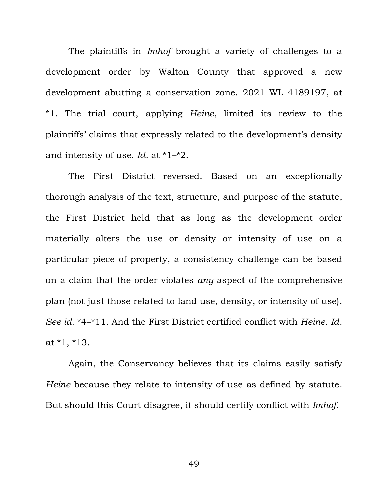The plaintiffs in *Imhof* brought a variety of challenges to a development order by Walton County that approved a new development abutting a conservation zone. 2021 WL 4189197, at \*1. The trial court, applying *Heine*, limited its review to the plaintiffs' claims that expressly related to the development's density and intensity of use. *Id.* at \*1–\*2.

The First District reversed. Based on an exceptionally thorough analysis of the text, structure, and purpose of the statute, the First District held that as long as the development order materially alters the use or density or intensity of use on a particular piece of property, a consistency challenge can be based on a claim that the order violates *any* aspect of the comprehensive plan (not just those related to land use, density, or intensity of use). *See id.* \*4–\*11. And the First District certified conflict with *Heine*. *Id.* at \*1, \*13.

Again, the Conservancy believes that its claims easily satisfy *Heine* because they relate to intensity of use as defined by statute. But should this Court disagree, it should certify conflict with *Imhof*.

49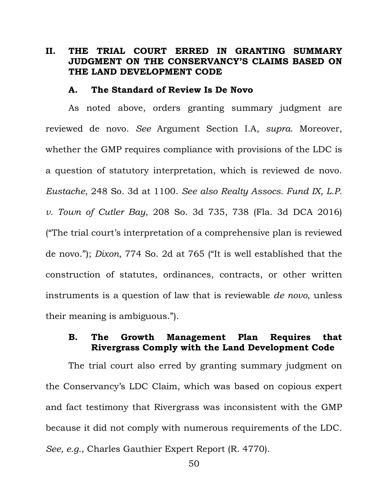## **II. THE TRIAL COURT ERRED IN GRANTING SUMMARY JUDGMENT ON THE CONSERVANCY'S CLAIMS BASED ON THE LAND DEVELOPMENT CODE**

#### **A. The Standard of Review Is De Novo**

As noted above, orders granting summary judgment are reviewed de novo. *See* Argument Section I.A, *supra*. Moreover, whether the GMP requires compliance with provisions of the LDC is a question of statutory interpretation, which is reviewed de novo. *Eustache*, 248 So. 3d at 1100. *See also Realty Assocs. Fund IX, L.P. v. Town of Cutler Bay*, 208 So. 3d 735, 738 (Fla. 3d DCA 2016) ("The trial court's interpretation of a comprehensive plan is reviewed de novo."); *Dixon*, 774 So. 2d at 765 ("It is well established that the construction of statutes, ordinances, contracts, or other written instruments is a question of law that is reviewable *de novo*, unless their meaning is ambiguous.").

## **B. The Growth Management Plan Requires that Rivergrass Comply with the Land Development Code**

The trial court also erred by granting summary judgment on the Conservancy's LDC Claim, which was based on copious expert and fact testimony that Rivergrass was inconsistent with the GMP because it did not comply with numerous requirements of the LDC. *See, e.g.*, Charles Gauthier Expert Report (R. 4770).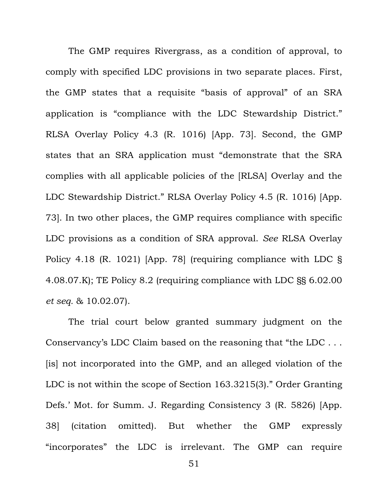The GMP requires Rivergrass, as a condition of approval, to comply with specified LDC provisions in two separate places. First, the GMP states that a requisite "basis of approval" of an SRA application is "compliance with the LDC Stewardship District." RLSA Overlay Policy 4.3 (R. 1016) [App. 73]. Second, the GMP states that an SRA application must "demonstrate that the SRA complies with all applicable policies of the [RLSA] Overlay and the LDC Stewardship District." RLSA Overlay Policy 4.5 (R. 1016) [App. 73]. In two other places, the GMP requires compliance with specific LDC provisions as a condition of SRA approval. *See* RLSA Overlay Policy 4.18 (R. 1021) [App. 78] (requiring compliance with LDC § 4.08.07.K); TE Policy 8.2 (requiring compliance with LDC §§ 6.02.00 *et seq.* & 10.02.07).

The trial court below granted summary judgment on the Conservancy's LDC Claim based on the reasoning that "the LDC . . . [is] not incorporated into the GMP, and an alleged violation of the LDC is not within the scope of Section 163.3215(3)." Order Granting Defs.' Mot. for Summ. J. Regarding Consistency 3 (R. 5826) [App. 38] (citation omitted). But whether the GMP expressly "incorporates" the LDC is irrelevant. The GMP can require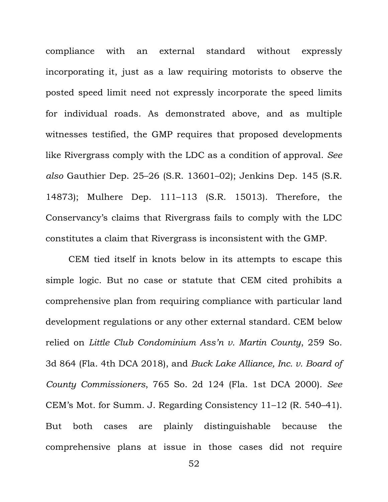compliance with an external standard without expressly incorporating it, just as a law requiring motorists to observe the posted speed limit need not expressly incorporate the speed limits for individual roads. As demonstrated above, and as multiple witnesses testified, the GMP requires that proposed developments like Rivergrass comply with the LDC as a condition of approval. *See also* Gauthier Dep. 25–26 (S.R. 13601–02); Jenkins Dep. 145 (S.R. 14873); Mulhere Dep. 111–113 (S.R. 15013). Therefore, the Conservancy's claims that Rivergrass fails to comply with the LDC constitutes a claim that Rivergrass is inconsistent with the GMP.

CEM tied itself in knots below in its attempts to escape this simple logic. But no case or statute that CEM cited prohibits a comprehensive plan from requiring compliance with particular land development regulations or any other external standard. CEM below relied on *Little Club Condominium Ass'n v. Martin County*, 259 So. 3d 864 (Fla. 4th DCA 2018), and *Buck Lake Alliance, Inc. v. Board of County Commissioners*, 765 So. 2d 124 (Fla. 1st DCA 2000). *See*  CEM's Mot. for Summ. J. Regarding Consistency 11–12 (R. 540–41). But both cases are plainly distinguishable because the comprehensive plans at issue in those cases did not require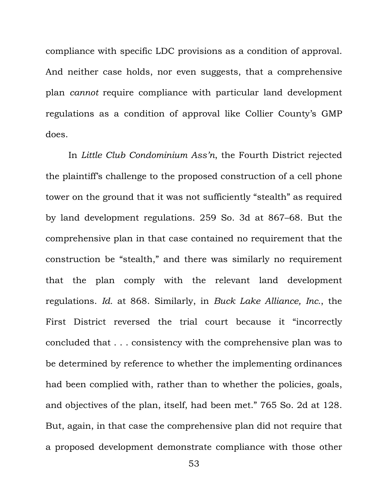compliance with specific LDC provisions as a condition of approval. And neither case holds, nor even suggests, that a comprehensive plan *cannot* require compliance with particular land development regulations as a condition of approval like Collier County's GMP does.

In *Little Club Condominium Ass'n*, the Fourth District rejected the plaintiff's challenge to the proposed construction of a cell phone tower on the ground that it was not sufficiently "stealth" as required by land development regulations. 259 So. 3d at 867–68. But the comprehensive plan in that case contained no requirement that the construction be "stealth," and there was similarly no requirement that the plan comply with the relevant land development regulations. *Id.* at 868. Similarly, in *Buck Lake Alliance, Inc.*, the First District reversed the trial court because it "incorrectly concluded that . . . consistency with the comprehensive plan was to be determined by reference to whether the implementing ordinances had been complied with, rather than to whether the policies, goals, and objectives of the plan, itself, had been met." 765 So. 2d at 128. But, again, in that case the comprehensive plan did not require that a proposed development demonstrate compliance with those other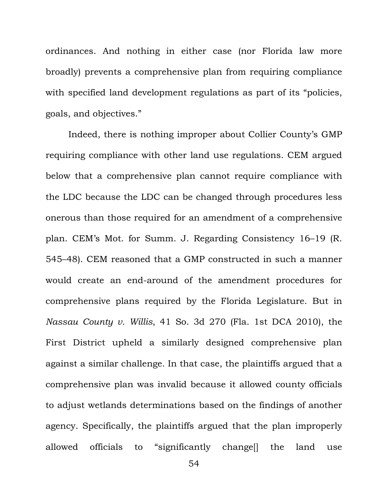ordinances. And nothing in either case (nor Florida law more broadly) prevents a comprehensive plan from requiring compliance with specified land development regulations as part of its "policies, goals, and objectives."

Indeed, there is nothing improper about Collier County's GMP requiring compliance with other land use regulations. CEM argued below that a comprehensive plan cannot require compliance with the LDC because the LDC can be changed through procedures less onerous than those required for an amendment of a comprehensive plan. CEM's Mot. for Summ. J. Regarding Consistency 16–19 (R. 545–48). CEM reasoned that a GMP constructed in such a manner would create an end-around of the amendment procedures for comprehensive plans required by the Florida Legislature. But in *Nassau County v. Willis*, 41 So. 3d 270 (Fla. 1st DCA 2010), the First District upheld a similarly designed comprehensive plan against a similar challenge. In that case, the plaintiffs argued that a comprehensive plan was invalid because it allowed county officials to adjust wetlands determinations based on the findings of another agency. Specifically, the plaintiffs argued that the plan improperly allowed officials to "significantly change[] the land use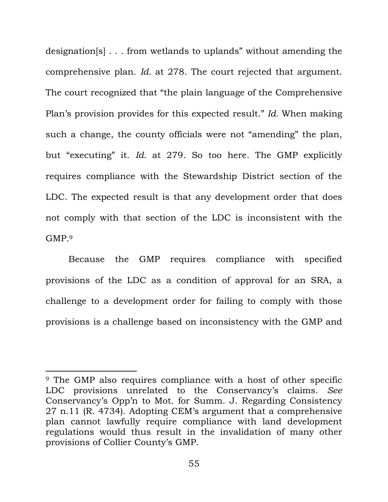designation[s] . . . from wetlands to uplands" without amending the comprehensive plan. *Id.* at 278. The court rejected that argument. The court recognized that "the plain language of the Comprehensive Plan's provision provides for this expected result." *Id.* When making such a change, the county officials were not "amending" the plan, but "executing" it. *Id.* at 279. So too here. The GMP explicitly requires compliance with the Stewardship District section of the LDC. The expected result is that any development order that does not comply with that section of the LDC is inconsistent with the GMP.<sup>9</sup>

Because the GMP requires compliance with specified provisions of the LDC as a condition of approval for an SRA, a challenge to a development order for failing to comply with those provisions is a challenge based on inconsistency with the GMP and

<sup>9</sup> The GMP also requires compliance with a host of other specific LDC provisions unrelated to the Conservancy's claims. *See*  Conservancy's Opp'n to Mot. for Summ. J. Regarding Consistency 27 n.11 (R. 4734). Adopting CEM's argument that a comprehensive plan cannot lawfully require compliance with land development regulations would thus result in the invalidation of many other provisions of Collier County's GMP.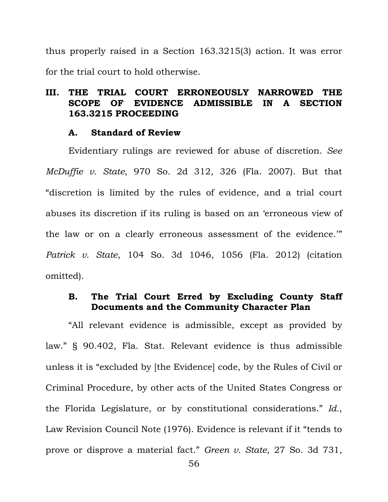thus properly raised in a Section 163.3215(3) action. It was error for the trial court to hold otherwise.

# **III. THE TRIAL COURT ERRONEOUSLY NARROWED THE SCOPE OF EVIDENCE ADMISSIBLE IN A SECTION 163.3215 PROCEEDING**

### **A. Standard of Review**

Evidentiary rulings are reviewed for abuse of discretion. *See McDuffie v. State*, 970 So. 2d 312, 326 (Fla. 2007). But that "discretion is limited by the rules of evidence, and a trial court abuses its discretion if its ruling is based on an 'erroneous view of the law or on a clearly erroneous assessment of the evidence.'" *Patrick v. State*, 104 So. 3d 1046, 1056 (Fla. 2012) (citation omitted).

# **B. The Trial Court Erred by Excluding County Staff Documents and the Community Character Plan**

"All relevant evidence is admissible, except as provided by law." § 90.402, Fla. Stat. Relevant evidence is thus admissible unless it is "excluded by [the Evidence] code, by the Rules of Civil or Criminal Procedure, by other acts of the United States Congress or the Florida Legislature, or by constitutional considerations." *Id.*, Law Revision Council Note (1976). Evidence is relevant if it "tends to prove or disprove a material fact." *Green v. State*, 27 So. 3d 731,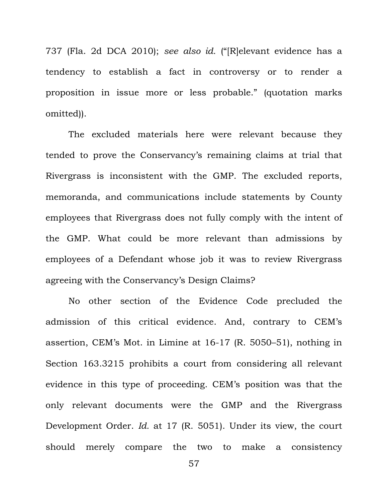737 (Fla. 2d DCA 2010); *see also id.* ("[R]elevant evidence has a tendency to establish a fact in controversy or to render a proposition in issue more or less probable." (quotation marks omitted)).

The excluded materials here were relevant because they tended to prove the Conservancy's remaining claims at trial that Rivergrass is inconsistent with the GMP. The excluded reports, memoranda, and communications include statements by County employees that Rivergrass does not fully comply with the intent of the GMP. What could be more relevant than admissions by employees of a Defendant whose job it was to review Rivergrass agreeing with the Conservancy's Design Claims?

No other section of the Evidence Code precluded the admission of this critical evidence. And, contrary to CEM's assertion, CEM's Mot. in Limine at 16-17 (R. 5050–51), nothing in Section 163.3215 prohibits a court from considering all relevant evidence in this type of proceeding. CEM's position was that the only relevant documents were the GMP and the Rivergrass Development Order. *Id.* at 17 (R. 5051). Under its view, the court should merely compare the two to make a consistency

57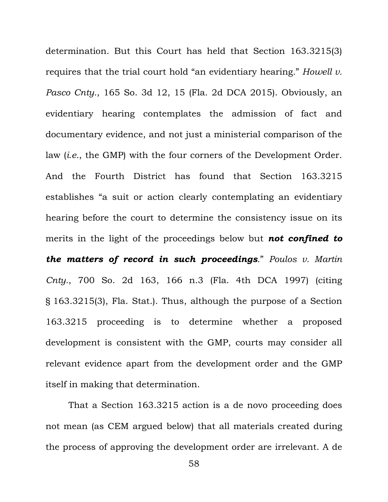determination. But this Court has held that Section 163.3215(3) requires that the trial court hold "an evidentiary hearing*.*" *Howell v. Pasco Cnty.*, 165 So. 3d 12, 15 (Fla. 2d DCA 2015). Obviously, an evidentiary hearing contemplates the admission of fact and documentary evidence, and not just a ministerial comparison of the law (*i.e.*, the GMP) with the four corners of the Development Order. And the Fourth District has found that Section 163.3215 establishes "a suit or action clearly contemplating an evidentiary hearing before the court to determine the consistency issue on its merits in the light of the proceedings below but *not confined to the matters of record in such proceedings*." *Poulos v. Martin Cnty.*, 700 So. 2d 163, 166 n.3 (Fla. 4th DCA 1997) (citing § 163.3215(3), Fla. Stat.). Thus, although the purpose of a Section 163.3215 proceeding is to determine whether a proposed development is consistent with the GMP, courts may consider all relevant evidence apart from the development order and the GMP itself in making that determination.

That a Section 163.3215 action is a de novo proceeding does not mean (as CEM argued below) that all materials created during the process of approving the development order are irrelevant. A de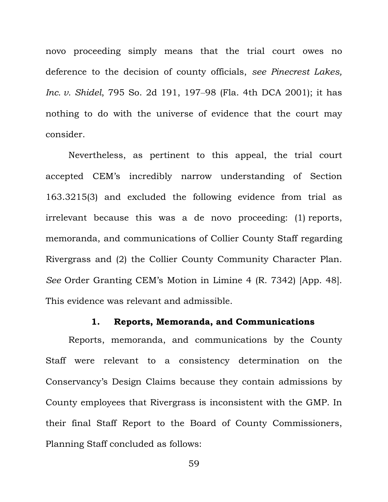novo proceeding simply means that the trial court owes no deference to the decision of county officials, *see Pinecrest Lakes, Inc. v. Shidel*, 795 So. 2d 191, 197–98 (Fla. 4th DCA 2001); it has nothing to do with the universe of evidence that the court may consider.

Nevertheless, as pertinent to this appeal, the trial court accepted CEM's incredibly narrow understanding of Section 163.3215(3) and excluded the following evidence from trial as irrelevant because this was a de novo proceeding: (1) reports, memoranda, and communications of Collier County Staff regarding Rivergrass and (2) the Collier County Community Character Plan. *See* Order Granting CEM's Motion in Limine 4 (R. 7342) [App. 48]. This evidence was relevant and admissible.

#### **1. Reports, Memoranda, and Communications**

Reports, memoranda, and communications by the County Staff were relevant to a consistency determination on the Conservancy's Design Claims because they contain admissions by County employees that Rivergrass is inconsistent with the GMP. In their final Staff Report to the Board of County Commissioners, Planning Staff concluded as follows: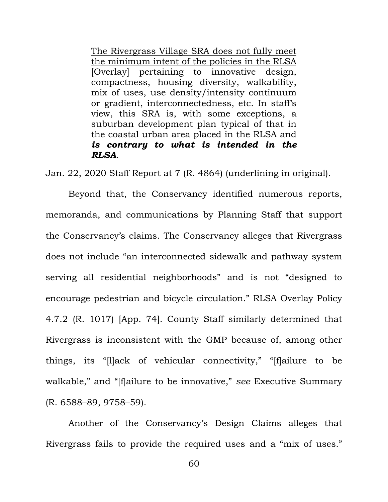The Rivergrass Village SRA does not fully meet the minimum intent of the policies in the RLSA [Overlay] pertaining to innovative design, compactness, housing diversity, walkability, mix of uses, use density/intensity continuum or gradient, interconnectedness, etc. In staff's view, this SRA is, with some exceptions, a suburban development plan typical of that in the coastal urban area placed in the RLSA and *is contrary to what is intended in the RLSA*.

Jan. 22, 2020 Staff Report at 7 (R. 4864) (underlining in original).

Beyond that, the Conservancy identified numerous reports, memoranda, and communications by Planning Staff that support the Conservancy's claims. The Conservancy alleges that Rivergrass does not include "an interconnected sidewalk and pathway system serving all residential neighborhoods" and is not "designed to encourage pedestrian and bicycle circulation." RLSA Overlay Policy 4.7.2 (R. 1017) [App. 74]. County Staff similarly determined that Rivergrass is inconsistent with the GMP because of, among other things, its "[l]ack of vehicular connectivity," "[f]ailure to be walkable," and "[f]ailure to be innovative," *see* Executive Summary (R. 6588–89, 9758–59).

Another of the Conservancy's Design Claims alleges that Rivergrass fails to provide the required uses and a "mix of uses."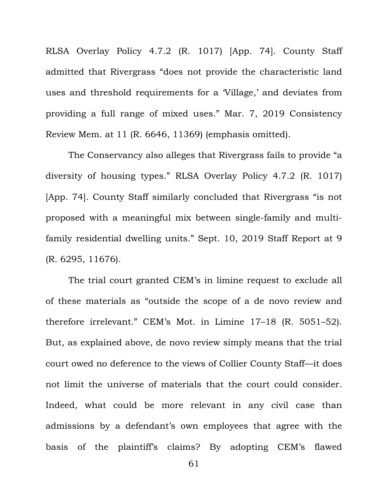RLSA Overlay Policy 4.7.2 (R. 1017) [App. 74]. County Staff admitted that Rivergrass "does not provide the characteristic land uses and threshold requirements for a 'Village,' and deviates from providing a full range of mixed uses." Mar. 7, 2019 Consistency Review Mem. at 11 (R. 6646, 11369) (emphasis omitted).

The Conservancy also alleges that Rivergrass fails to provide "a diversity of housing types." RLSA Overlay Policy 4.7.2 (R. 1017) [App. 74]. County Staff similarly concluded that Rivergrass "is not proposed with a meaningful mix between single-family and multifamily residential dwelling units." Sept. 10, 2019 Staff Report at 9 (R. 6295, 11676).

The trial court granted CEM's in limine request to exclude all of these materials as "outside the scope of a de novo review and therefore irrelevant." CEM's Mot. in Limine 17–18 (R. 5051–52). But, as explained above, de novo review simply means that the trial court owed no deference to the views of Collier County Staff—it does not limit the universe of materials that the court could consider. Indeed, what could be more relevant in any civil case than admissions by a defendant's own employees that agree with the basis of the plaintiff's claims? By adopting CEM's flawed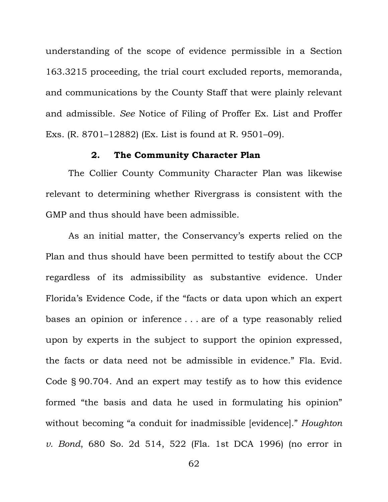understanding of the scope of evidence permissible in a Section 163.3215 proceeding, the trial court excluded reports, memoranda, and communications by the County Staff that were plainly relevant and admissible. *See* Notice of Filing of Proffer Ex. List and Proffer Exs. (R. 8701–12882) (Ex. List is found at R. 9501–09).

## **2. The Community Character Plan**

The Collier County Community Character Plan was likewise relevant to determining whether Rivergrass is consistent with the GMP and thus should have been admissible.

As an initial matter, the Conservancy's experts relied on the Plan and thus should have been permitted to testify about the CCP regardless of its admissibility as substantive evidence. Under Florida's Evidence Code, if the "facts or data upon which an expert bases an opinion or inference . . . are of a type reasonably relied upon by experts in the subject to support the opinion expressed, the facts or data need not be admissible in evidence." Fla. Evid. Code § 90.704. And an expert may testify as to how this evidence formed "the basis and data he used in formulating his opinion" without becoming "a conduit for inadmissible [evidence]." *Houghton v. Bond*, 680 So. 2d 514, 522 (Fla. 1st DCA 1996) (no error in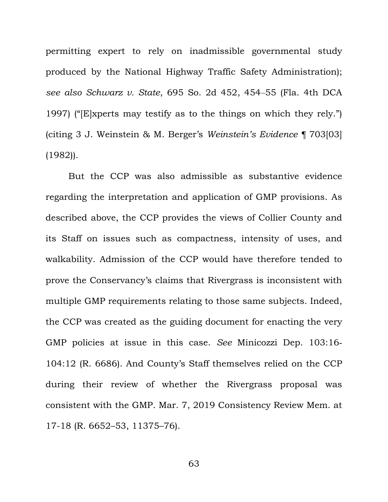permitting expert to rely on inadmissible governmental study produced by the National Highway Traffic Safety Administration); *see also Schwarz v. State*, 695 So. 2d 452, 454‒55 (Fla. 4th DCA 1997) ("[E]xperts may testify as to the things on which they rely.") (citing 3 J. Weinstein & M. Berger's *Weinstein's Evidence* ¶ 703[03] (1982)).

But the CCP was also admissible as substantive evidence regarding the interpretation and application of GMP provisions. As described above, the CCP provides the views of Collier County and its Staff on issues such as compactness, intensity of uses, and walkability. Admission of the CCP would have therefore tended to prove the Conservancy's claims that Rivergrass is inconsistent with multiple GMP requirements relating to those same subjects. Indeed, the CCP was created as the guiding document for enacting the very GMP policies at issue in this case. *See* Minicozzi Dep. 103:16- 104:12 (R. 6686). And County's Staff themselves relied on the CCP during their review of whether the Rivergrass proposal was consistent with the GMP. Mar. 7, 2019 Consistency Review Mem. at 17-18 (R. 6652–53, 11375–76).

63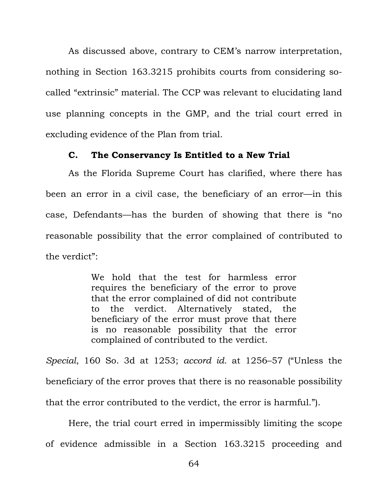As discussed above, contrary to CEM's narrow interpretation, nothing in Section 163.3215 prohibits courts from considering socalled "extrinsic" material. The CCP was relevant to elucidating land use planning concepts in the GMP, and the trial court erred in excluding evidence of the Plan from trial.

### **C. The Conservancy Is Entitled to a New Trial**

As the Florida Supreme Court has clarified, where there has been an error in a civil case, the beneficiary of an error—in this case, Defendants—has the burden of showing that there is "no reasonable possibility that the error complained of contributed to the verdict":

> We hold that the test for harmless error requires the beneficiary of the error to prove that the error complained of did not contribute to the verdict. Alternatively stated, the beneficiary of the error must prove that there is no reasonable possibility that the error complained of contributed to the verdict.

*Special*, 160 So. 3d at 1253; *accord id.* at 1256–57 ("Unless the beneficiary of the error proves that there is no reasonable possibility that the error contributed to the verdict, the error is harmful.").

Here, the trial court erred in impermissibly limiting the scope of evidence admissible in a Section 163.3215 proceeding and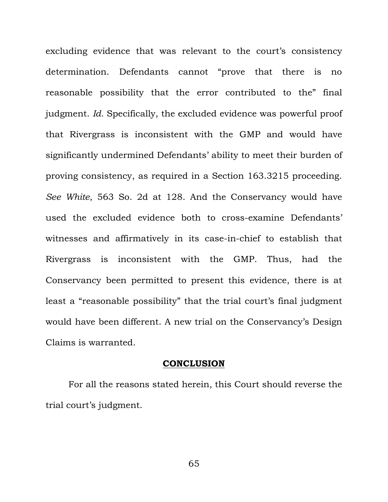excluding evidence that was relevant to the court's consistency determination. Defendants cannot "prove that there is no reasonable possibility that the error contributed to the" final judgment. *Id.* Specifically, the excluded evidence was powerful proof that Rivergrass is inconsistent with the GMP and would have significantly undermined Defendants' ability to meet their burden of proving consistency, as required in a Section 163.3215 proceeding. *See White*, 563 So. 2d at 128. And the Conservancy would have used the excluded evidence both to cross-examine Defendants' witnesses and affirmatively in its case-in-chief to establish that Rivergrass is inconsistent with the GMP. Thus, had the Conservancy been permitted to present this evidence, there is at least a "reasonable possibility" that the trial court's final judgment would have been different. A new trial on the Conservancy's Design Claims is warranted.

#### **CONCLUSION**

For all the reasons stated herein, this Court should reverse the trial court's judgment.

65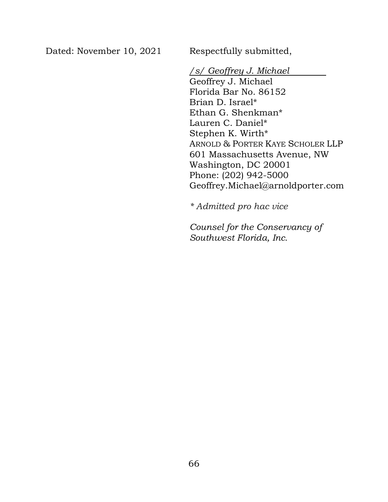Dated: November 10, 2021 Respectfully submitted,

## */s/ Geoffrey J. Michael*

Geoffrey J. Michael Florida Bar No. 86152 Brian D. Israel\* Ethan G. Shenkman\* Lauren C. Daniel\* Stephen K. Wirth\* ARNOLD & PORTER KAYE SCHOLER LLP 601 Massachusetts Avenue, NW Washington, DC 20001 Phone: (202) 942-5000 Geoffrey.Michael@arnoldporter.com

*\* Admitted pro hac vice* 

*Counsel for the Conservancy of Southwest Florida, Inc.*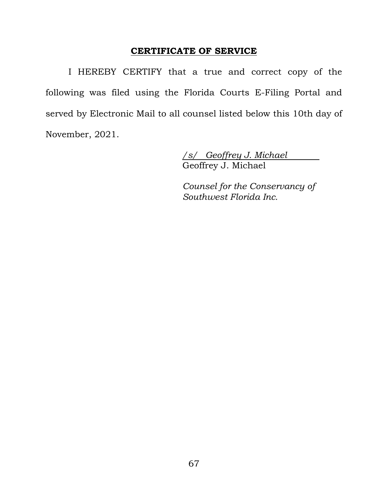## **CERTIFICATE OF SERVICE**

I HEREBY CERTIFY that a true and correct copy of the following was filed using the Florida Courts E-Filing Portal and served by Electronic Mail to all counsel listed below this 10th day of November, 2021.

> */s/ Geoffrey J. Michael*  Geoffrey J. Michael

> *Counsel for the Conservancy of Southwest Florida Inc.*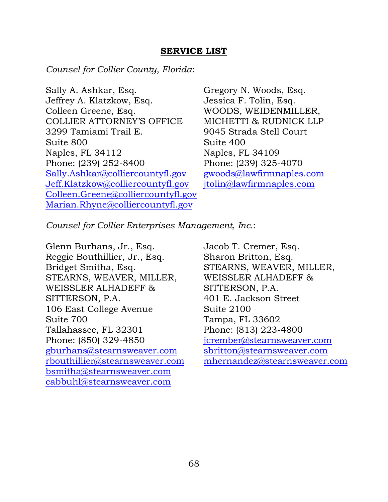## **SERVICE LIST**

*Counsel for Collier County, Florida*:

Sally A. Ashkar, Esq. Jeffrey A. Klatzkow, Esq. Colleen Greene, Esq. COLLIER ATTORNEY'S OFFICE 3299 Tamiami Trail E. Suite 800 Naples, FL 34112 Phone: (239) 252-8400 Sally.Ashkar@colliercountyfl.gov Jeff.Klatzkow@colliercountyfl.gov Colleen.Greene@colliercountyfl.gov Marian.Rhyne@colliercountyfl.gov

Gregory N. Woods, Esq. Jessica F. Tolin, Esq. WOODS, WEIDENMILLER, MICHETTI & RUDNICK LLP 9045 Strada Stell Court Suite 400 Naples, FL 34109 Phone: (239) 325-4070 gwoods@lawfirmnaples.com jtolin@lawfirmnaples.com

*Counsel for Collier Enterprises Management, Inc.*:

Glenn Burhans, Jr., Esq. Reggie Bouthillier, Jr., Esq. Bridget Smitha, Esq. STEARNS, WEAVER, MILLER, WEISSLER ALHADEFF & SITTERSON, P.A. 106 East College Avenue Suite 700 Tallahassee, FL 32301 Phone: (850) 329-4850 gburhans@stearnsweaver.com rbouthillier@stearnsweaver.com bsmitha@stearnsweaver.com cabbuhl@stearnsweaver.com

Jacob T. Cremer, Esq. Sharon Britton, Esq. STEARNS, WEAVER, MILLER, WEISSLER ALHADEFF & SITTERSON, P.A. 401 E. Jackson Street Suite 2100 Tampa, FL 33602 Phone: (813) 223-4800 jcrember@stearnsweaver.com sbritton@stearnsweaver.com mhernandez@stearnsweaver.com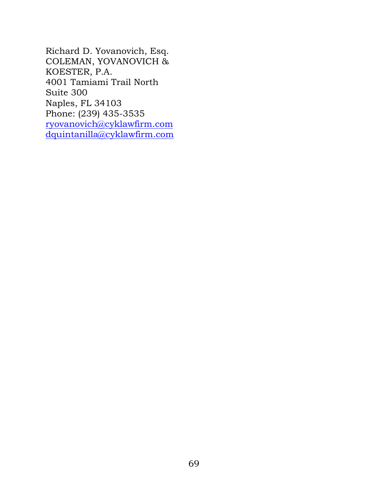Richard D. Yovanovich, Esq. COLEMAN, YOVANOVICH & KOESTER, P.A. 4001 Tamiami Trail North Suite 300 Naples, FL 34103 Phone: (239) 435-3535 ryovanovich@cyklawfirm.com dquintanilla@cyklawfirm.com